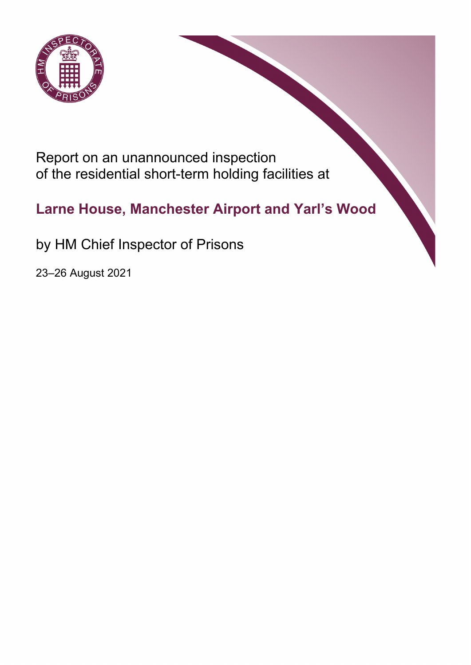

Report on an unannounced inspection of the residential short-term holding facilities at

# **Larne House, Manchester Airport and Yarl's Wood**

by HM Chief Inspector of Prisons

23–26 August 2021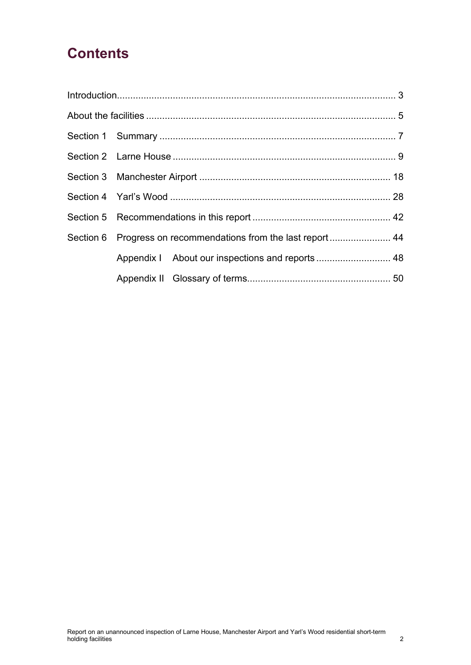# **Contents**

|  | Section 6 Progress on recommendations from the last report 44 |  |
|--|---------------------------------------------------------------|--|
|  |                                                               |  |
|  |                                                               |  |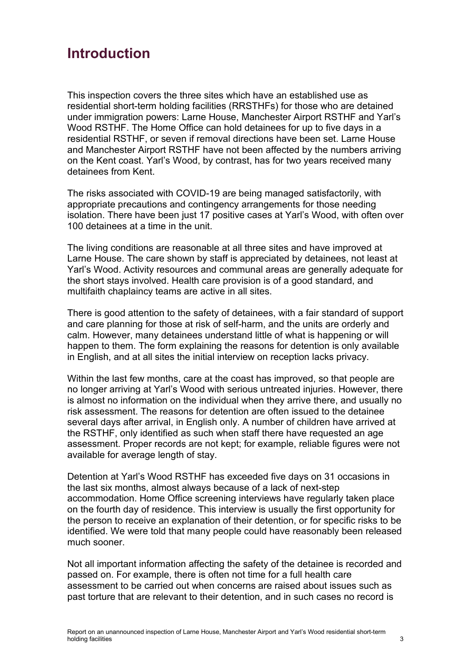# <span id="page-2-0"></span>**Introduction**

This inspection covers the three sites which have an established use as residential short-term holding facilities (RRSTHFs) for those who are detained under immigration powers: Larne House, Manchester Airport RSTHF and Yarl's Wood RSTHF. The Home Office can hold detainees for up to five days in a residential RSTHF, or seven if removal directions have been set. Larne House and Manchester Airport RSTHF have not been affected by the numbers arriving on the Kent coast. Yarl's Wood, by contrast, has for two years received many detainees from Kent.

The risks associated with COVID-19 are being managed satisfactorily, with appropriate precautions and contingency arrangements for those needing isolation. There have been just 17 positive cases at Yarl's Wood, with often over 100 detainees at a time in the unit.

The living conditions are reasonable at all three sites and have improved at Larne House. The care shown by staff is appreciated by detainees, not least at Yarl's Wood. Activity resources and communal areas are generally adequate for the short stays involved. Health care provision is of a good standard, and multifaith chaplaincy teams are active in all sites.

There is good attention to the safety of detainees, with a fair standard of support and care planning for those at risk of self-harm, and the units are orderly and calm. However, many detainees understand little of what is happening or will happen to them. The form explaining the reasons for detention is only available in English, and at all sites the initial interview on reception lacks privacy.

Within the last few months, care at the coast has improved, so that people are no longer arriving at Yarl's Wood with serious untreated injuries. However, there is almost no information on the individual when they arrive there, and usually no risk assessment. The reasons for detention are often issued to the detainee several days after arrival, in English only. A number of children have arrived at the RSTHF, only identified as such when staff there have requested an age assessment. Proper records are not kept; for example, reliable figures were not available for average length of stay.

Detention at Yarl's Wood RSTHF has exceeded five days on 31 occasions in the last six months, almost always because of a lack of next-step accommodation. Home Office screening interviews have regularly taken place on the fourth day of residence. This interview is usually the first opportunity for the person to receive an explanation of their detention, or for specific risks to be identified. We were told that many people could have reasonably been released much sooner.

Not all important information affecting the safety of the detainee is recorded and passed on. For example, there is often not time for a full health care assessment to be carried out when concerns are raised about issues such as past torture that are relevant to their detention, and in such cases no record is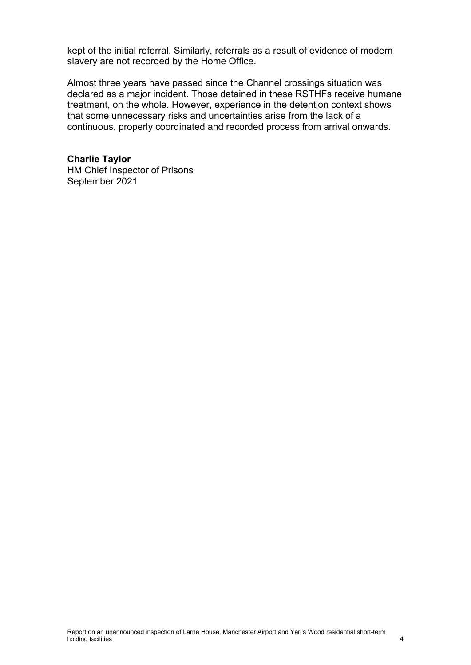kept of the initial referral. Similarly, referrals as a result of evidence of modern slavery are not recorded by the Home Office.

Almost three years have passed since the Channel crossings situation was declared as a major incident. Those detained in these RSTHFs receive humane treatment, on the whole. However, experience in the detention context shows that some unnecessary risks and uncertainties arise from the lack of a continuous, properly coordinated and recorded process from arrival onwards.

**Charlie Taylor** HM Chief Inspector of Prisons September 2021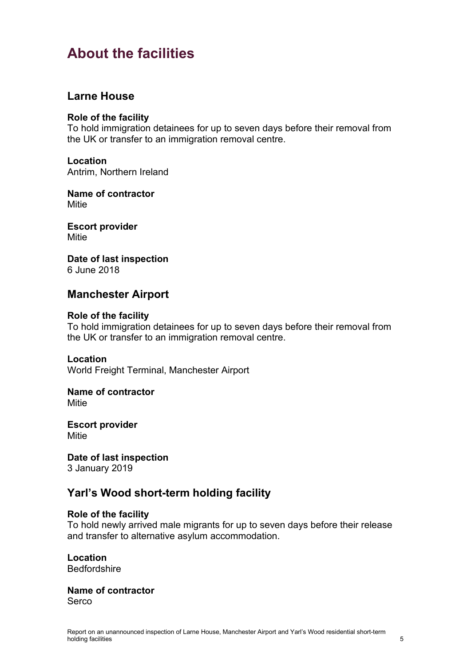# <span id="page-4-0"></span>**About the facilities**

## **Larne House**

#### **Role of the facility**

To hold immigration detainees for up to seven days before their removal from the UK or transfer to an immigration removal centre.

### **Location**

Antrim, Northern Ireland

#### **Name of contractor Mitie**

**Escort provider** Mitie

**Date of last inspection** 6 June 2018

## **Manchester Airport**

#### **Role of the facility**

To hold immigration detainees for up to seven days before their removal from the UK or transfer to an immigration removal centre.

#### **Location**

World Freight Terminal, Manchester Airport

## **Name of contractor**

**Mitie** 

**Escort provider Mitie** 

# **Date of last inspection**

3 January 2019

## **Yarl's Wood short-term holding facility**

#### **Role of the facility**

To hold newly arrived male migrants for up to seven days before their release and transfer to alternative asylum accommodation.

#### **Location** Bedfordshire

**Name of contractor** Serco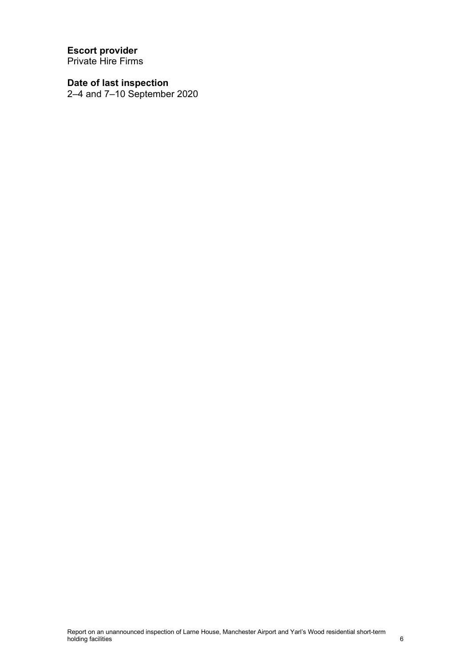**Escort provider** Private Hire Firms

**Date of last inspection** 2–4 and 7–10 September 2020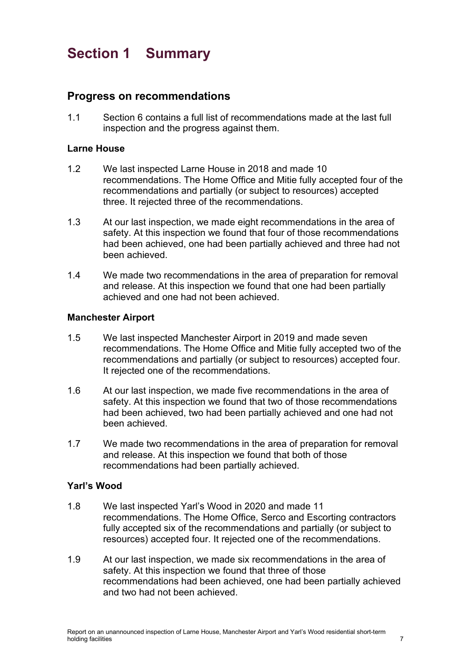# <span id="page-6-0"></span>**Section 1 Summary**

## **Progress on recommendations**

1.1 Section 6 contains a full list of recommendations made at the last full inspection and the progress against them.

#### **Larne House**

- 1.2 We last inspected Larne House in 2018 and made 10 recommendations. The Home Office and Mitie fully accepted four of the recommendations and partially (or subject to resources) accepted three. It rejected three of the recommendations.
- 1.3 At our last inspection, we made eight recommendations in the area of safety. At this inspection we found that four of those recommendations had been achieved, one had been partially achieved and three had not been achieved.
- 1.4 We made two recommendations in the area of preparation for removal and release. At this inspection we found that one had been partially achieved and one had not been achieved.

#### **Manchester Airport**

- 1.5 We last inspected Manchester Airport in 2019 and made seven recommendations. The Home Office and Mitie fully accepted two of the recommendations and partially (or subject to resources) accepted four. It rejected one of the recommendations.
- 1.6 At our last inspection, we made five recommendations in the area of safety. At this inspection we found that two of those recommendations had been achieved, two had been partially achieved and one had not been achieved.
- 1.7 We made two recommendations in the area of preparation for removal and release. At this inspection we found that both of those recommendations had been partially achieved.

#### **Yarl's Wood**

- 1.8 We last inspected Yarl's Wood in 2020 and made 11 recommendations. The Home Office, Serco and Escorting contractors fully accepted six of the recommendations and partially (or subject to resources) accepted four. It rejected one of the recommendations.
- 1.9 At our last inspection, we made six recommendations in the area of safety. At this inspection we found that three of those recommendations had been achieved, one had been partially achieved and two had not been achieved.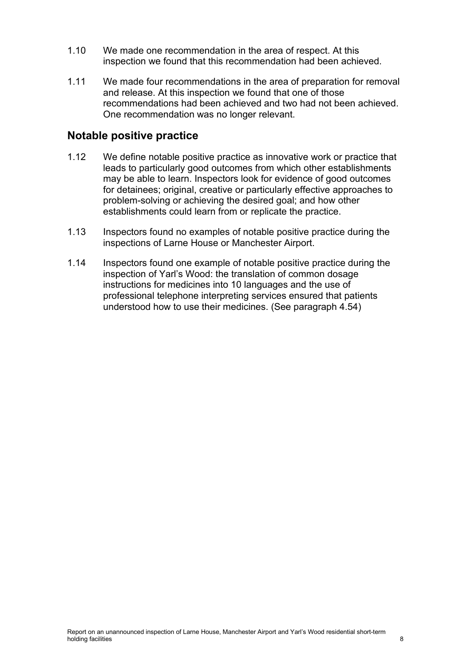- 1.10 We made one recommendation in the area of respect. At this inspection we found that this recommendation had been achieved.
- 1.11 We made four recommendations in the area of preparation for removal and release. At this inspection we found that one of those recommendations had been achieved and two had not been achieved. One recommendation was no longer relevant.

## **Notable positive practice**

- 1.12 We define notable positive practice as innovative work or practice that leads to particularly good outcomes from which other establishments may be able to learn. Inspectors look for evidence of good outcomes for detainees; original, creative or particularly effective approaches to problem-solving or achieving the desired goal; and how other establishments could learn from or replicate the practice.
- 1.13 Inspectors found no examples of notable positive practice during the inspections of Larne House or Manchester Airport.
- 1.14 Inspectors found one example of notable positive practice during the inspection of Yarl's Wood: the translation of common dosage instructions for medicines into 10 languages and the use of professional telephone interpreting services ensured that patients understood how to use their medicines. (See paragraph [4.54\)](#page-37-0)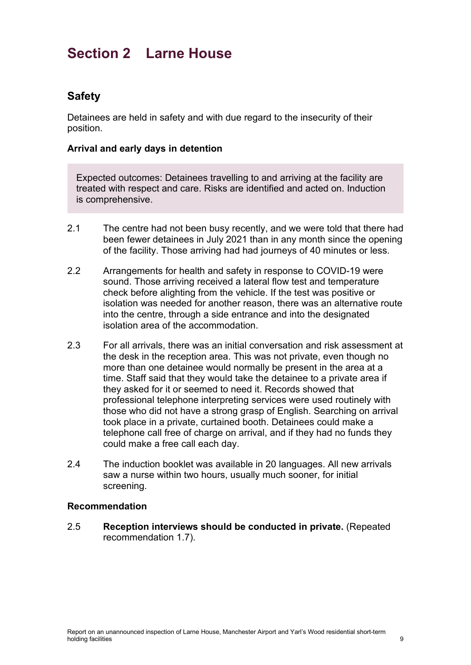# <span id="page-8-0"></span>**Section 2 Larne House**

# **Safety**

Detainees are held in safety and with due regard to the insecurity of their position.

#### **Arrival and early days in detention**

Expected outcomes: Detainees travelling to and arriving at the facility are treated with respect and care. Risks are identified and acted on. Induction is comprehensive.

- 2.1 The centre had not been busy recently, and we were told that there had been fewer detainees in July 2021 than in any month since the opening of the facility. Those arriving had had journeys of 40 minutes or less.
- 2.2 Arrangements for health and safety in response to COVID-19 were sound. Those arriving received a lateral flow test and temperature check before alighting from the vehicle. If the test was positive or isolation was needed for another reason, there was an alternative route into the centre, through a side entrance and into the designated isolation area of the accommodation.
- 2.3 For all arrivals, there was an initial conversation and risk assessment at the desk in the reception area. This was not private, even though no more than one detainee would normally be present in the area at a time. Staff said that they would take the detainee to a private area if they asked for it or seemed to need it. Records showed that professional telephone interpreting services were used routinely with those who did not have a strong grasp of English. Searching on arrival took place in a private, curtained booth. Detainees could make a telephone call free of charge on arrival, and if they had no funds they could make a free call each day.
- 2.4 The induction booklet was available in 20 languages. All new arrivals saw a nurse within two hours, usually much sooner, for initial screening.

#### **Recommendation**

<span id="page-8-1"></span>2.5 **Reception interviews should be conducted in private.** (Repeated recommendation 1.7).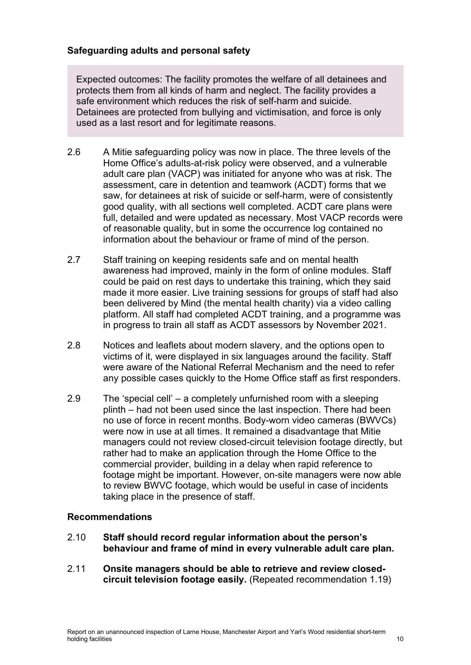### **Safeguarding adults and personal safety**

Expected outcomes: The facility promotes the welfare of all detainees and protects them from all kinds of harm and neglect. The facility provides a safe environment which reduces the risk of self-harm and suicide. Detainees are protected from bullying and victimisation, and force is only used as a last resort and for legitimate reasons.

- 2.6 A Mitie safeguarding policy was now in place. The three levels of the Home Office's adults-at-risk policy were observed, and a vulnerable adult care plan (VACP) was initiated for anyone who was at risk. The assessment, care in detention and teamwork (ACDT) forms that we saw, for detainees at risk of suicide or self-harm, were of consistently good quality, with all sections well completed. ACDT care plans were full, detailed and were updated as necessary. Most VACP records were of reasonable quality, but in some the occurrence log contained no information about the behaviour or frame of mind of the person.
- 2.7 Staff training on keeping residents safe and on mental health awareness had improved, mainly in the form of online modules. Staff could be paid on rest days to undertake this training, which they said made it more easier. Live training sessions for groups of staff had also been delivered by Mind (the mental health charity) via a video calling platform. All staff had completed ACDT training, and a programme was in progress to train all staff as ACDT assessors by November 2021.
- 2.8 Notices and leaflets about modern slavery, and the options open to victims of it, were displayed in six languages around the facility. Staff were aware of the National Referral Mechanism and the need to refer any possible cases quickly to the Home Office staff as first responders.
- 2.9 The 'special cell' a completely unfurnished room with a sleeping plinth – had not been used since the last inspection. There had been no use of force in recent months. Body-worn video cameras (BWVCs) were now in use at all times. It remained a disadvantage that Mitie managers could not review closed-circuit television footage directly, but rather had to make an application through the Home Office to the commercial provider, building in a delay when rapid reference to footage might be important. However, on-site managers were now able to review BWVC footage, which would be useful in case of incidents taking place in the presence of staff.

#### **Recommendations**

- <span id="page-9-0"></span>2.10 **Staff should record regular information about the person's behaviour and frame of mind in every vulnerable adult care plan.**
- <span id="page-9-1"></span>2.11 **Onsite managers should be able to retrieve and review closedcircuit television footage easily.** (Repeated recommendation 1.19)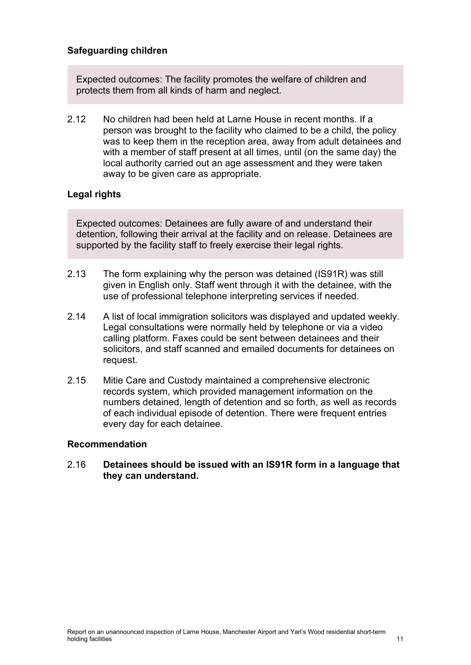#### **Safeguarding children**

Expected outcomes: The facility promotes the welfare of children and protects them from all kinds of harm and neglect.

2.12 No children had been held at Larne House in recent months. If a person was brought to the facility who claimed to be a child, the policy was to keep them in the reception area, away from adult detainees and with a member of staff present at all times, until (on the same day) the local authority carried out an age assessment and they were taken away to be given care as appropriate.

## **Legal rights**

Expected outcomes: Detainees are fully aware of and understand their detention, following their arrival at the facility and on release. Detainees are supported by the facility staff to freely exercise their legal rights.

- 2.13 The form explaining why the person was detained (IS91R) was still given in English only. Staff went through it with the detainee, with the use of professional telephone interpreting services if needed.
- 2.14 A list of local immigration solicitors was displayed and updated weekly. Legal consultations were normally held by telephone or via a video calling platform. Faxes could be sent between detainees and their solicitors, and staff scanned and emailed documents for detainees on request.
- 2.15 Mitie Care and Custody maintained a comprehensive electronic records system, which provided management information on the numbers detained, length of detention and so forth, as well as records of each individual episode of detention. There were frequent entries every day for each detainee.

#### **Recommendation**

#### <span id="page-10-0"></span>2.16 **Detainees should be issued with an IS91R form in a language that they can understand.**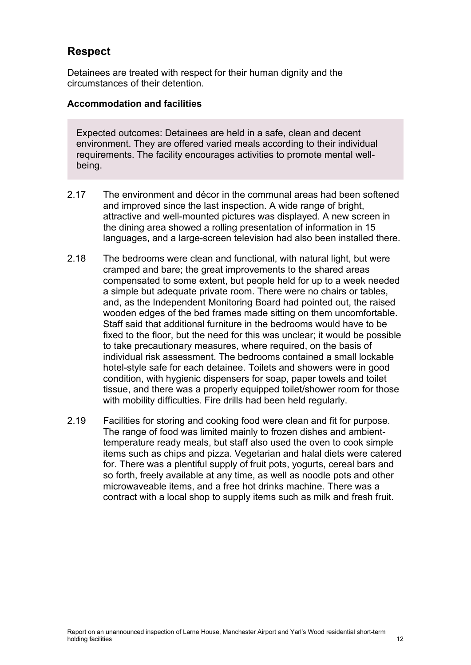# **Respect**

Detainees are treated with respect for their human dignity and the circumstances of their detention.

### **Accommodation and facilities**

Expected outcomes: Detainees are held in a safe, clean and decent environment. They are offered varied meals according to their individual requirements. The facility encourages activities to promote mental wellbeing.

- 2.17 The environment and décor in the communal areas had been softened and improved since the last inspection. A wide range of bright, attractive and well-mounted pictures was displayed. A new screen in the dining area showed a rolling presentation of information in 15 languages, and a large-screen television had also been installed there.
- 2.18 The bedrooms were clean and functional, with natural light, but were cramped and bare; the great improvements to the shared areas compensated to some extent, but people held for up to a week needed a simple but adequate private room. There were no chairs or tables, and, as the Independent Monitoring Board had pointed out, the raised wooden edges of the bed frames made sitting on them uncomfortable. Staff said that additional furniture in the bedrooms would have to be fixed to the floor, but the need for this was unclear; it would be possible to take precautionary measures, where required, on the basis of individual risk assessment. The bedrooms contained a small lockable hotel-style safe for each detainee. Toilets and showers were in good condition, with hygienic dispensers for soap, paper towels and toilet tissue, and there was a properly equipped toilet/shower room for those with mobility difficulties. Fire drills had been held regularly.
- 2.19 Facilities for storing and cooking food were clean and fit for purpose. The range of food was limited mainly to frozen dishes and ambienttemperature ready meals, but staff also used the oven to cook simple items such as chips and pizza. Vegetarian and halal diets were catered for. There was a plentiful supply of fruit pots, yogurts, cereal bars and so forth, freely available at any time, as well as noodle pots and other microwaveable items, and a free hot drinks machine. There was a contract with a local shop to supply items such as milk and fresh fruit.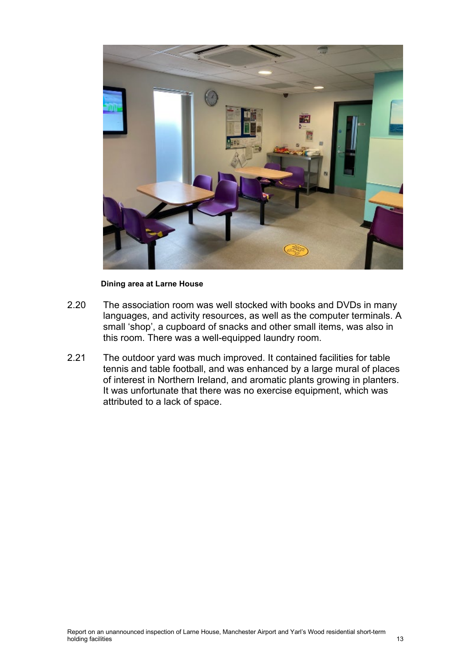

#### **Dining area at Larne House**

- 2.20 The association room was well stocked with books and DVDs in many languages, and activity resources, as well as the computer terminals. A small 'shop', a cupboard of snacks and other small items, was also in this room. There was a well-equipped laundry room.
- 2.21 The outdoor yard was much improved. It contained facilities for table tennis and table football, and was enhanced by a large mural of places of interest in Northern Ireland, and aromatic plants growing in planters. It was unfortunate that there was no exercise equipment, which was attributed to a lack of space.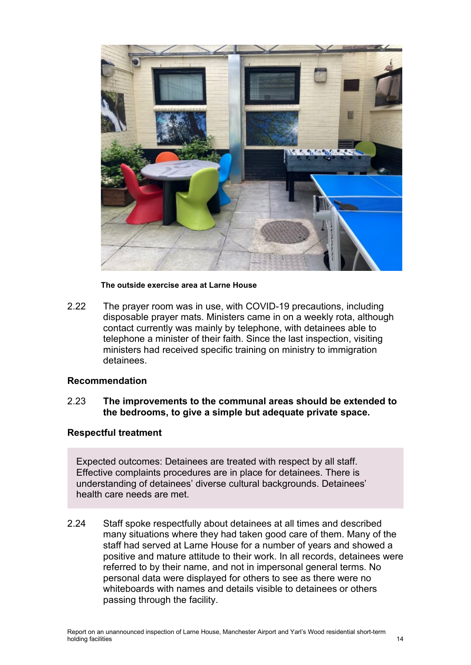

#### **The outside exercise area at Larne House**

2.22 The prayer room was in use, with COVID-19 precautions, including disposable prayer mats. Ministers came in on a weekly rota, although contact currently was mainly by telephone, with detainees able to telephone a minister of their faith. Since the last inspection, visiting ministers had received specific training on ministry to immigration detainees.

#### **Recommendation**

<span id="page-13-0"></span>2.23 **The improvements to the communal areas should be extended to the bedrooms, to give a simple but adequate private space.**

#### **Respectful treatment**

Expected outcomes: Detainees are treated with respect by all staff. Effective complaints procedures are in place for detainees. There is understanding of detainees' diverse cultural backgrounds. Detainees' health care needs are met.

2.24 Staff spoke respectfully about detainees at all times and described many situations where they had taken good care of them. Many of the staff had served at Larne House for a number of years and showed a positive and mature attitude to their work. In all records, detainees were referred to by their name, and not in impersonal general terms. No personal data were displayed for others to see as there were no whiteboards with names and details visible to detainees or others passing through the facility.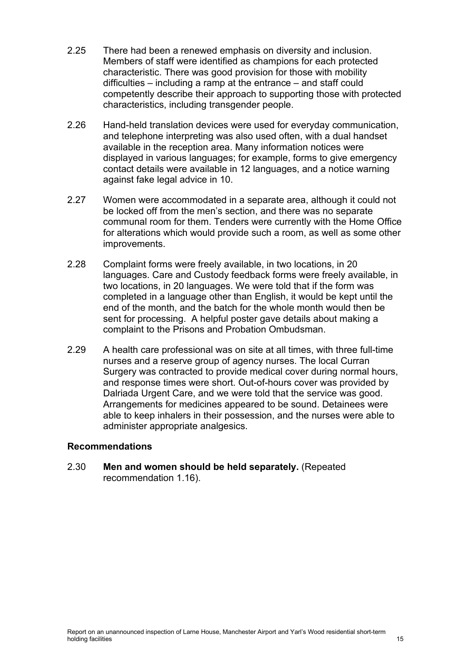- 2.25 There had been a renewed emphasis on diversity and inclusion. Members of staff were identified as champions for each protected characteristic. There was good provision for those with mobility difficulties – including a ramp at the entrance – and staff could competently describe their approach to supporting those with protected characteristics, including transgender people.
- 2.26 Hand-held translation devices were used for everyday communication, and telephone interpreting was also used often, with a dual handset available in the reception area. Many information notices were displayed in various languages; for example, forms to give emergency contact details were available in 12 languages, and a notice warning against fake legal advice in 10.
- 2.27 Women were accommodated in a separate area, although it could not be locked off from the men's section, and there was no separate communal room for them. Tenders were currently with the Home Office for alterations which would provide such a room, as well as some other improvements.
- 2.28 Complaint forms were freely available, in two locations, in 20 languages. Care and Custody feedback forms were freely available, in two locations, in 20 languages. We were told that if the form was completed in a language other than English, it would be kept until the end of the month, and the batch for the whole month would then be sent for processing. A helpful poster gave details about making a complaint to the Prisons and Probation Ombudsman.
- 2.29 A health care professional was on site at all times, with three full-time nurses and a reserve group of agency nurses. The local Curran Surgery was contracted to provide medical cover during normal hours, and response times were short. Out-of-hours cover was provided by Dalriada Urgent Care, and we were told that the service was good. Arrangements for medicines appeared to be sound. Detainees were able to keep inhalers in their possession, and the nurses were able to administer appropriate analgesics.

#### **Recommendations**

<span id="page-14-0"></span>2.30 **Men and women should be held separately.** (Repeated recommendation 1.16).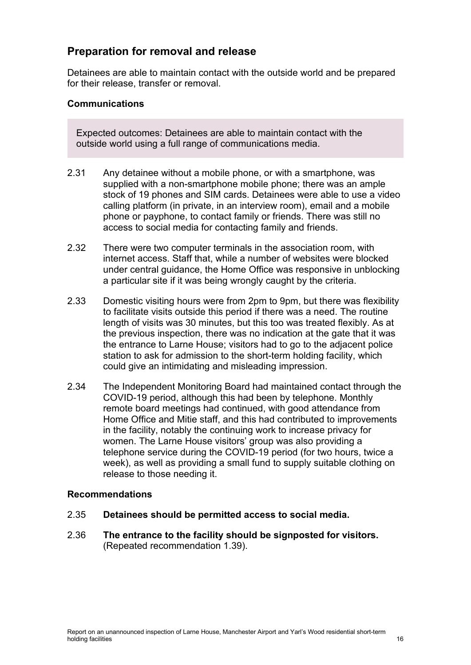## **Preparation for removal and release**

Detainees are able to maintain contact with the outside world and be prepared for their release, transfer or removal.

#### **Communications**

Expected outcomes: Detainees are able to maintain contact with the outside world using a full range of communications media.

- 2.31 Any detainee without a mobile phone, or with a smartphone, was supplied with a non-smartphone mobile phone; there was an ample stock of 19 phones and SIM cards. Detainees were able to use a video calling platform (in private, in an interview room), email and a mobile phone or payphone, to contact family or friends. There was still no access to social media for contacting family and friends.
- 2.32 There were two computer terminals in the association room, with internet access. Staff that, while a number of websites were blocked under central guidance, the Home Office was responsive in unblocking a particular site if it was being wrongly caught by the criteria.
- 2.33 Domestic visiting hours were from 2pm to 9pm, but there was flexibility to facilitate visits outside this period if there was a need. The routine length of visits was 30 minutes, but this too was treated flexibly. As at the previous inspection, there was no indication at the gate that it was the entrance to Larne House; visitors had to go to the adjacent police station to ask for admission to the short-term holding facility, which could give an intimidating and misleading impression.
- 2.34 The Independent Monitoring Board had maintained contact through the COVID-19 period, although this had been by telephone. Monthly remote board meetings had continued, with good attendance from Home Office and Mitie staff, and this had contributed to improvements in the facility, notably the continuing work to increase privacy for women. The Larne House visitors' group was also providing a telephone service during the COVID-19 period (for two hours, twice a week), as well as providing a small fund to supply suitable clothing on release to those needing it.

#### **Recommendations**

- 2.35 **Detainees should be permitted access to social media.**
- <span id="page-15-0"></span>2.36 **The entrance to the facility should be signposted for visitors.** (Repeated recommendation 1.39).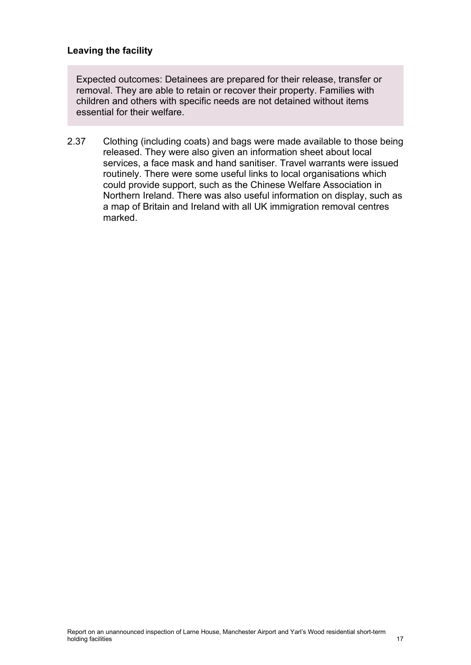### **Leaving the facility**

Expected outcomes: Detainees are prepared for their release, transfer or removal. They are able to retain or recover their property. Families with children and others with specific needs are not detained without items essential for their welfare.

2.37 Clothing (including coats) and bags were made available to those being released. They were also given an information sheet about local services, a face mask and hand sanitiser. Travel warrants were issued routinely. There were some useful links to local organisations which could provide support, such as the Chinese Welfare Association in Northern Ireland. There was also useful information on display, such as a map of Britain and Ireland with all UK immigration removal centres marked.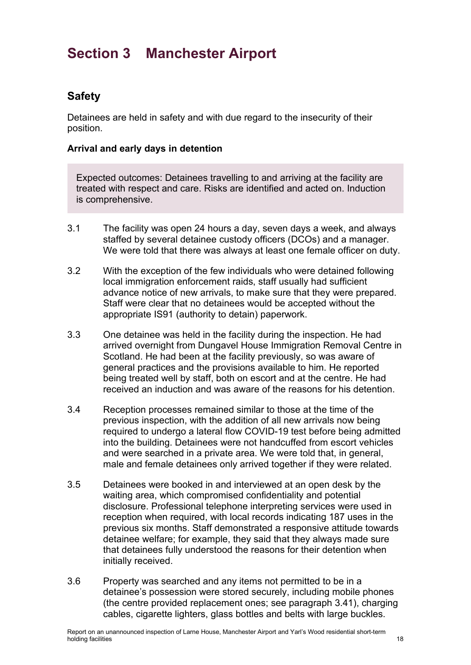# <span id="page-17-0"></span>**Section 3 Manchester Airport**

# **Safety**

Detainees are held in safety and with due regard to the insecurity of their position.

### **Arrival and early days in detention**

Expected outcomes: Detainees travelling to and arriving at the facility are treated with respect and care. Risks are identified and acted on. Induction is comprehensive.

- 3.1 The facility was open 24 hours a day, seven days a week, and always staffed by several detainee custody officers (DCOs) and a manager. We were told that there was always at least one female officer on duty.
- 3.2 With the exception of the few individuals who were detained following local immigration enforcement raids, staff usually had sufficient advance notice of new arrivals, to make sure that they were prepared. Staff were clear that no detainees would be accepted without the appropriate IS91 (authority to detain) paperwork.
- 3.3 One detainee was held in the facility during the inspection. He had arrived overnight from Dungavel House Immigration Removal Centre in Scotland. He had been at the facility previously, so was aware of general practices and the provisions available to him. He reported being treated well by staff, both on escort and at the centre. He had received an induction and was aware of the reasons for his detention.
- 3.4 Reception processes remained similar to those at the time of the previous inspection, with the addition of all new arrivals now being required to undergo a lateral flow COVID-19 test before being admitted into the building. Detainees were not handcuffed from escort vehicles and were searched in a private area. We were told that, in general, male and female detainees only arrived together if they were related.
- 3.5 Detainees were booked in and interviewed at an open desk by the waiting area, which compromised confidentiality and potential disclosure. Professional telephone interpreting services were used in reception when required, with local records indicating 187 uses in the previous six months. Staff demonstrated a responsive attitude towards detainee welfare; for example, they said that they always made sure that detainees fully understood the reasons for their detention when initially received.
- 3.6 Property was searched and any items not permitted to be in a detainee's possession were stored securely, including mobile phones (the centre provided replacement ones; see paragraph [3.41\)](#page-25-0), charging cables, cigarette lighters, glass bottles and belts with large buckles.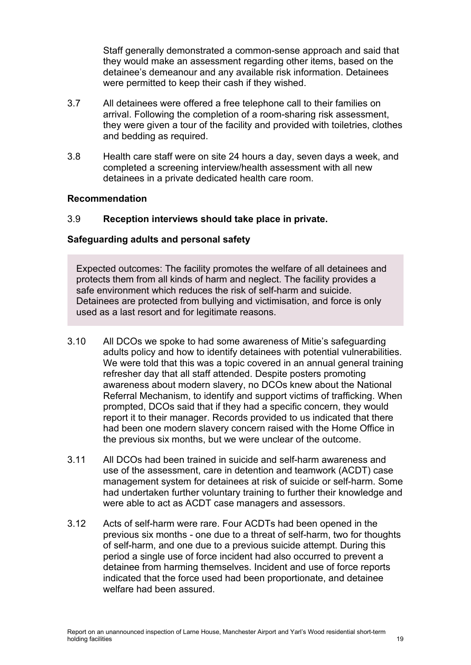Staff generally demonstrated a common-sense approach and said that they would make an assessment regarding other items, based on the detainee's demeanour and any available risk information. Detainees were permitted to keep their cash if they wished.

- 3.7 All detainees were offered a free telephone call to their families on arrival. Following the completion of a room-sharing risk assessment, they were given a tour of the facility and provided with toiletries, clothes and bedding as required.
- 3.8 Health care staff were on site 24 hours a day, seven days a week, and completed a screening interview/health assessment with all new detainees in a private dedicated health care room.

#### **Recommendation**

### <span id="page-18-0"></span>3.9 **Reception interviews should take place in private.**

### **Safeguarding adults and personal safety**

Expected outcomes: The facility promotes the welfare of all detainees and protects them from all kinds of harm and neglect. The facility provides a safe environment which reduces the risk of self-harm and suicide. Detainees are protected from bullying and victimisation, and force is only used as a last resort and for legitimate reasons.

- 3.10 All DCOs we spoke to had some awareness of Mitie's safeguarding adults policy and how to identify detainees with potential vulnerabilities. We were told that this was a topic covered in an annual general training refresher day that all staff attended. Despite posters promoting awareness about modern slavery, no DCOs knew about the National Referral Mechanism, to identify and support victims of trafficking. When prompted, DCOs said that if they had a specific concern, they would report it to their manager. Records provided to us indicated that there had been one modern slavery concern raised with the Home Office in the previous six months, but we were unclear of the outcome.
- 3.11 All DCOs had been trained in suicide and self-harm awareness and use of the assessment, care in detention and teamwork (ACDT) case management system for detainees at risk of suicide or self-harm. Some had undertaken further voluntary training to further their knowledge and were able to act as ACDT case managers and assessors.
- 3.12 Acts of self-harm were rare. Four ACDTs had been opened in the previous six months - one due to a threat of self-harm, two for thoughts of self-harm, and one due to a previous suicide attempt. During this period a single use of force incident had also occurred to prevent a detainee from harming themselves. Incident and use of force reports indicated that the force used had been proportionate, and detainee welfare had been assured.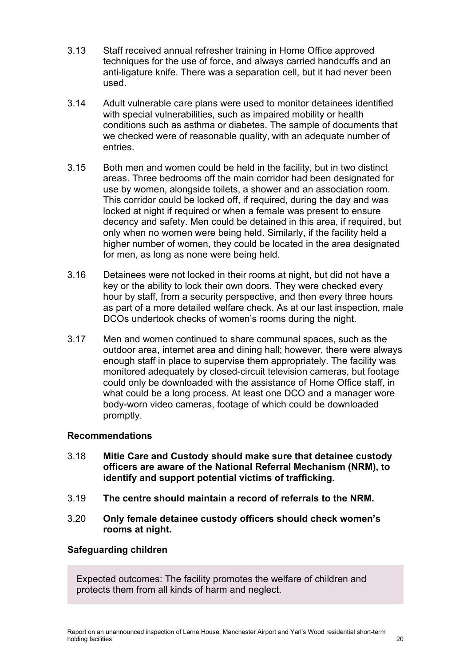- 3.13 Staff received annual refresher training in Home Office approved techniques for the use of force, and always carried handcuffs and an anti-ligature knife. There was a separation cell, but it had never been used.
- 3.14 Adult vulnerable care plans were used to monitor detainees identified with special vulnerabilities, such as impaired mobility or health conditions such as asthma or diabetes. The sample of documents that we checked were of reasonable quality, with an adequate number of entries.
- <span id="page-19-0"></span>3.15 Both men and women could be held in the facility, but in two distinct areas. Three bedrooms off the main corridor had been designated for use by women, alongside toilets, a shower and an association room. This corridor could be locked off, if required, during the day and was locked at night if required or when a female was present to ensure decency and safety. Men could be detained in this area, if required, but only when no women were being held. Similarly, if the facility held a higher number of women, they could be located in the area designated for men, as long as none were being held.
- 3.16 Detainees were not locked in their rooms at night, but did not have a key or the ability to lock their own doors. They were checked every hour by staff, from a security perspective, and then every three hours as part of a more detailed welfare check. As at our last inspection, male DCOs undertook checks of women's rooms during the night.
- 3.17 Men and women continued to share communal spaces, such as the outdoor area, internet area and dining hall; however, there were always enough staff in place to supervise them appropriately. The facility was monitored adequately by closed-circuit television cameras, but footage could only be downloaded with the assistance of Home Office staff, in what could be a long process. At least one DCO and a manager wore body-worn video cameras, footage of which could be downloaded promptly.

## **Recommendations**

- <span id="page-19-2"></span>3.18 **Mitie Care and Custody should make sure that detainee custody officers are aware of the National Referral Mechanism (NRM), to identify and support potential victims of trafficking.**
- <span id="page-19-1"></span>3.19 **The centre should maintain a record of referrals to the NRM.**
- <span id="page-19-3"></span>3.20 **Only female detainee custody officers should check women's rooms at night.**

## **Safeguarding children**

Expected outcomes: The facility promotes the welfare of children and protects them from all kinds of harm and neglect.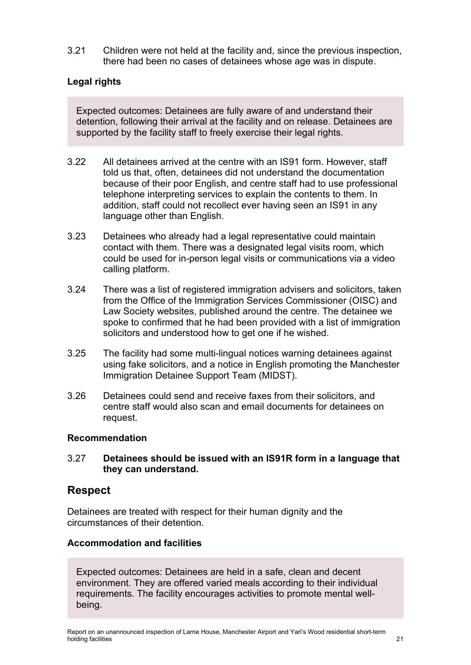3.21 Children were not held at the facility and, since the previous inspection, there had been no cases of detainees whose age was in dispute.

## **Legal rights**

Expected outcomes: Detainees are fully aware of and understand their detention, following their arrival at the facility and on release. Detainees are supported by the facility staff to freely exercise their legal rights.

- 3.22 All detainees arrived at the centre with an IS91 form. However, staff told us that, often, detainees did not understand the documentation because of their poor English, and centre staff had to use professional telephone interpreting services to explain the contents to them. In addition, staff could not recollect ever having seen an IS91 in any language other than English.
- <span id="page-20-0"></span>3.23 Detainees who already had a legal representative could maintain contact with them. There was a designated legal visits room, which could be used for in-person legal visits or communications via a video calling platform.
- 3.24 There was a list of registered immigration advisers and solicitors, taken from the Office of the Immigration Services Commissioner (OISC) and Law Society websites, published around the centre. The detainee we spoke to confirmed that he had been provided with a list of immigration solicitors and understood how to get one if he wished.
- 3.25 The facility had some multi-lingual notices warning detainees against using fake solicitors, and a notice in English promoting the Manchester Immigration Detainee Support Team (MIDST).
- 3.26 Detainees could send and receive faxes from their solicitors, and centre staff would also scan and email documents for detainees on request.

#### **Recommendation**

#### <span id="page-20-1"></span>3.27 **Detainees should be issued with an IS91R form in a language that they can understand.**

## **Respect**

Detainees are treated with respect for their human dignity and the circumstances of their detention.

#### **Accommodation and facilities**

Expected outcomes: Detainees are held in a safe, clean and decent environment. They are offered varied meals according to their individual requirements. The facility encourages activities to promote mental wellbeing.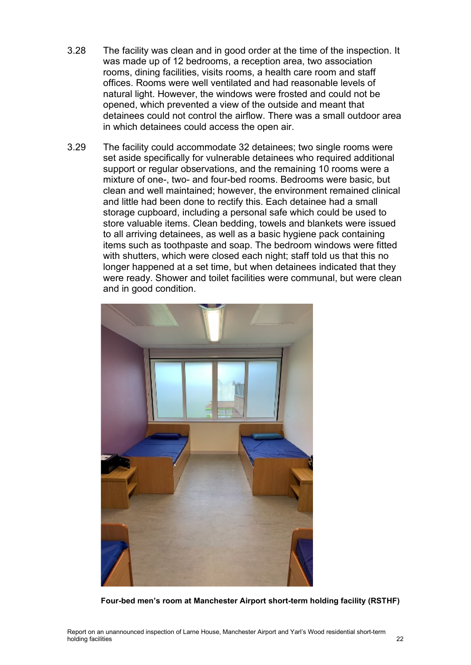- 3.28 The facility was clean and in good order at the time of the inspection. It was made up of 12 bedrooms, a reception area, two association rooms, dining facilities, visits rooms, a health care room and staff offices. Rooms were well ventilated and had reasonable levels of natural light. However, the windows were frosted and could not be opened, which prevented a view of the outside and meant that detainees could not control the airflow. There was a small outdoor area in which detainees could access the open air.
- 3.29 The facility could accommodate 32 detainees; two single rooms were set aside specifically for vulnerable detainees who required additional support or regular observations, and the remaining 10 rooms were a mixture of one-, two- and four-bed rooms. Bedrooms were basic, but clean and well maintained; however, the environment remained clinical and little had been done to rectify this. Each detainee had a small storage cupboard, including a personal safe which could be used to store valuable items. Clean bedding, towels and blankets were issued to all arriving detainees, as well as a basic hygiene pack containing items such as toothpaste and soap. The bedroom windows were fitted with shutters, which were closed each night; staff told us that this no longer happened at a set time, but when detainees indicated that they were ready. Shower and toilet facilities were communal, but were clean and in good condition.



**Four-bed men's room at Manchester Airport short-term holding facility (RSTHF)**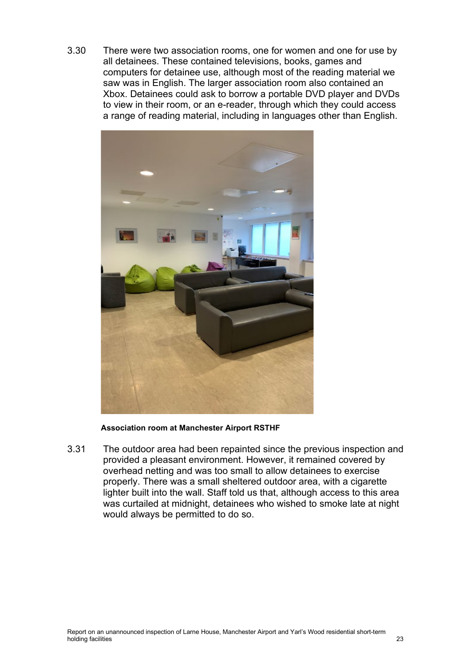<span id="page-22-0"></span>3.30 There were two association rooms, one for women and one for use by all detainees. These contained televisions, books, games and computers for detainee use, although most of the reading material we saw was in English. The larger association room also contained an Xbox. Detainees could ask to borrow a portable DVD player and DVDs to view in their room, or an e-reader, through which they could access a range of reading material, including in languages other than English.



**Association room at Manchester Airport RSTHF**

3.31 The outdoor area had been repainted since the previous inspection and provided a pleasant environment. However, it remained covered by overhead netting and was too small to allow detainees to exercise properly. There was a small sheltered outdoor area, with a cigarette lighter built into the wall. Staff told us that, although access to this area was curtailed at midnight, detainees who wished to smoke late at night would always be permitted to do so.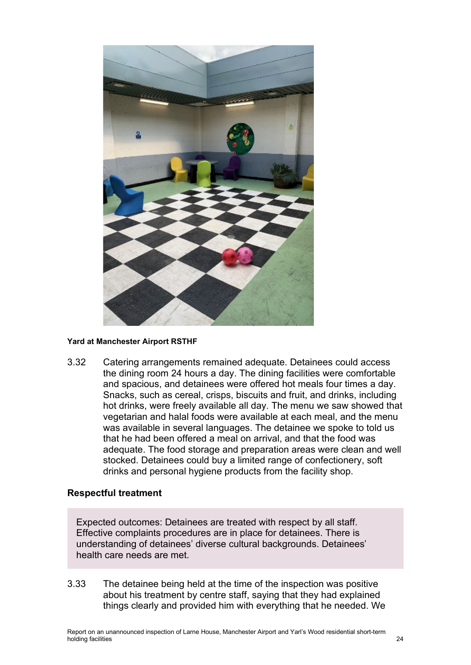

#### **Yard at Manchester Airport RSTHF**

3.32 Catering arrangements remained adequate. Detainees could access the dining room 24 hours a day. The dining facilities were comfortable and spacious, and detainees were offered hot meals four times a day. Snacks, such as cereal, crisps, biscuits and fruit, and drinks, including hot drinks, were freely available all day. The menu we saw showed that vegetarian and halal foods were available at each meal, and the menu was available in several languages. The detainee we spoke to told us that he had been offered a meal on arrival, and that the food was adequate. The food storage and preparation areas were clean and well stocked. Detainees could buy a limited range of confectionery, soft drinks and personal hygiene products from the facility shop.

#### **Respectful treatment**

Expected outcomes: Detainees are treated with respect by all staff. Effective complaints procedures are in place for detainees. There is understanding of detainees' diverse cultural backgrounds. Detainees' health care needs are met.

3.33 The detainee being held at the time of the inspection was positive about his treatment by centre staff, saying that they had explained things clearly and provided him with everything that he needed. We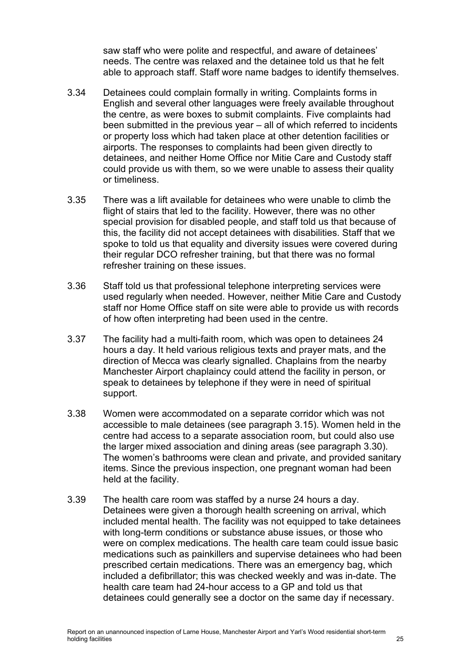saw staff who were polite and respectful, and aware of detainees' needs. The centre was relaxed and the detainee told us that he felt able to approach staff. Staff wore name badges to identify themselves.

- 3.34 Detainees could complain formally in writing. Complaints forms in English and several other languages were freely available throughout the centre, as were boxes to submit complaints. Five complaints had been submitted in the previous year – all of which referred to incidents or property loss which had taken place at other detention facilities or airports. The responses to complaints had been given directly to detainees, and neither Home Office nor Mitie Care and Custody staff could provide us with them, so we were unable to assess their quality or timeliness.
- 3.35 There was a lift available for detainees who were unable to climb the flight of stairs that led to the facility. However, there was no other special provision for disabled people, and staff told us that because of this, the facility did not accept detainees with disabilities. Staff that we spoke to told us that equality and diversity issues were covered during their regular DCO refresher training, but that there was no formal refresher training on these issues.
- 3.36 Staff told us that professional telephone interpreting services were used regularly when needed. However, neither Mitie Care and Custody staff nor Home Office staff on site were able to provide us with records of how often interpreting had been used in the centre.
- 3.37 The facility had a multi-faith room, which was open to detainees 24 hours a day. It held various religious texts and prayer mats, and the direction of Mecca was clearly signalled. Chaplains from the nearby Manchester Airport chaplaincy could attend the facility in person, or speak to detainees by telephone if they were in need of spiritual support.
- 3.38 Women were accommodated on a separate corridor which was not accessible to male detainees (see paragraph [3.15\)](#page-19-0). Women held in the centre had access to a separate association room, but could also use the larger mixed association and dining areas (see paragraph [3.30\)](#page-22-0). The women's bathrooms were clean and private, and provided sanitary items. Since the previous inspection, one pregnant woman had been held at the facility.
- 3.39 The health care room was staffed by a nurse 24 hours a day. Detainees were given a thorough health screening on arrival, which included mental health. The facility was not equipped to take detainees with long-term conditions or substance abuse issues, or those who were on complex medications. The health care team could issue basic medications such as painkillers and supervise detainees who had been prescribed certain medications. There was an emergency bag, which included a defibrillator; this was checked weekly and was in-date. The health care team had 24-hour access to a GP and told us that detainees could generally see a doctor on the same day if necessary.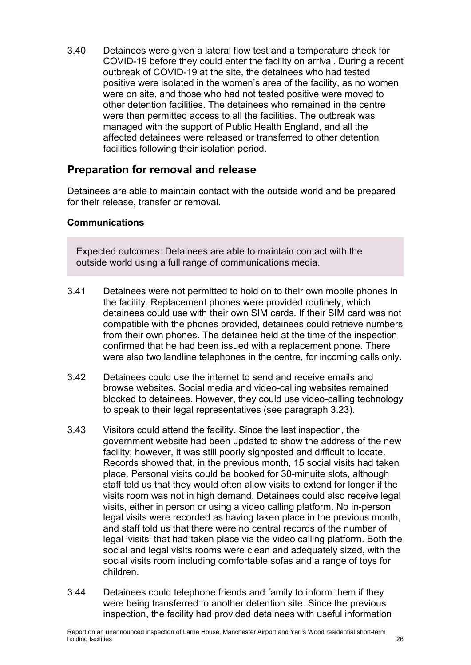3.40 Detainees were given a lateral flow test and a temperature check for COVID-19 before they could enter the facility on arrival. During a recent outbreak of COVID-19 at the site, the detainees who had tested positive were isolated in the women's area of the facility, as no women were on site, and those who had not tested positive were moved to other detention facilities. The detainees who remained in the centre were then permitted access to all the facilities. The outbreak was managed with the support of Public Health England, and all the affected detainees were released or transferred to other detention facilities following their isolation period.

## **Preparation for removal and release**

Detainees are able to maintain contact with the outside world and be prepared for their release, transfer or removal.

### **Communications**

Expected outcomes: Detainees are able to maintain contact with the outside world using a full range of communications media.

- <span id="page-25-0"></span>3.41 Detainees were not permitted to hold on to their own mobile phones in the facility. Replacement phones were provided routinely, which detainees could use with their own SIM cards. If their SIM card was not compatible with the phones provided, detainees could retrieve numbers from their own phones. The detainee held at the time of the inspection confirmed that he had been issued with a replacement phone. There were also two landline telephones in the centre, for incoming calls only.
- 3.42 Detainees could use the internet to send and receive emails and browse websites. Social media and video-calling websites remained blocked to detainees. However, they could use video-calling technology to speak to their legal representatives (see paragraph [3.23\)](#page-20-0).
- 3.43 Visitors could attend the facility. Since the last inspection, the government website had been updated to show the address of the new facility; however, it was still poorly signposted and difficult to locate. Records showed that, in the previous month, 15 social visits had taken place. Personal visits could be booked for 30-minuite slots, although staff told us that they would often allow visits to extend for longer if the visits room was not in high demand. Detainees could also receive legal visits, either in person or using a video calling platform. No in-person legal visits were recorded as having taken place in the previous month, and staff told us that there were no central records of the number of legal 'visits' that had taken place via the video calling platform. Both the social and legal visits rooms were clean and adequately sized, with the social visits room including comfortable sofas and a range of toys for children.
- 3.44 Detainees could telephone friends and family to inform them if they were being transferred to another detention site. Since the previous inspection, the facility had provided detainees with useful information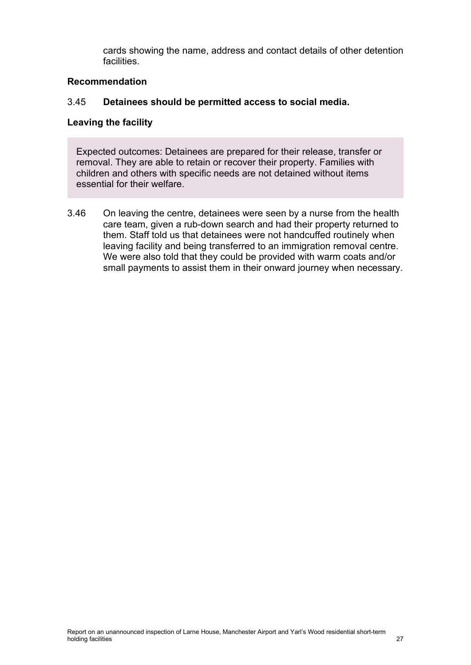cards showing the name, address and contact details of other detention facilities.

### **Recommendation**

### 3.45 **Detainees should be permitted access to social media.**

#### **Leaving the facility**

Expected outcomes: Detainees are prepared for their release, transfer or removal. They are able to retain or recover their property. Families with children and others with specific needs are not detained without items essential for their welfare.

3.46 On leaving the centre, detainees were seen by a nurse from the health care team, given a rub-down search and had their property returned to them. Staff told us that detainees were not handcuffed routinely when leaving facility and being transferred to an immigration removal centre. We were also told that they could be provided with warm coats and/or small payments to assist them in their onward journey when necessary.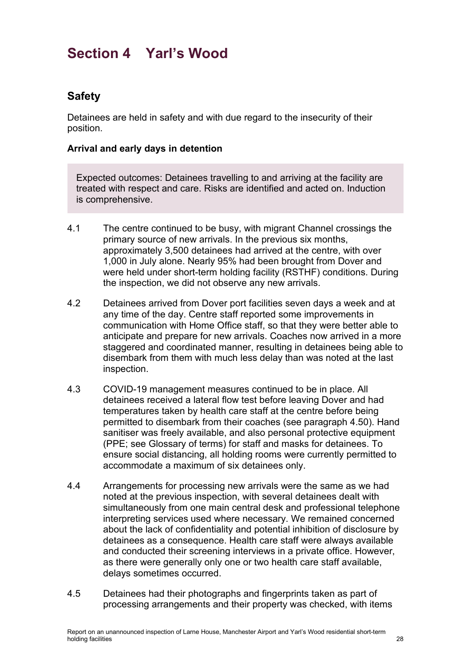# <span id="page-27-0"></span>**Section 4 Yarl's Wood**

# **Safety**

Detainees are held in safety and with due regard to the insecurity of their position.

### **Arrival and early days in detention**

Expected outcomes: Detainees travelling to and arriving at the facility are treated with respect and care. Risks are identified and acted on. Induction is comprehensive.

- 4.1 The centre continued to be busy, with migrant Channel crossings the primary source of new arrivals. In the previous six months, approximately 3,500 detainees had arrived at the centre, with over 1,000 in July alone. Nearly 95% had been brought from Dover and were held under short-term holding facility (RSTHF) conditions. During the inspection, we did not observe any new arrivals.
- <span id="page-27-1"></span>4.2 Detainees arrived from Dover port facilities seven days a week and at any time of the day. Centre staff reported some improvements in communication with Home Office staff, so that they were better able to anticipate and prepare for new arrivals. Coaches now arrived in a more staggered and coordinated manner, resulting in detainees being able to disembark from them with much less delay than was noted at the last inspection.
- 4.3 COVID-19 management measures continued to be in place. All detainees received a lateral flow test before leaving Dover and had temperatures taken by health care staff at the centre before being permitted to disembark from their coaches (see paragraph [4.50\)](#page-36-0). Hand sanitiser was freely available, and also personal protective equipment (PPE; see Glossary of terms) for staff and masks for detainees. To ensure social distancing, all holding rooms were currently permitted to accommodate a maximum of six detainees only.
- 4.4 Arrangements for processing new arrivals were the same as we had noted at the previous inspection, with several detainees dealt with simultaneously from one main central desk and professional telephone interpreting services used where necessary. We remained concerned about the lack of confidentiality and potential inhibition of disclosure by detainees as a consequence. Health care staff were always available and conducted their screening interviews in a private office. However, as there were generally only one or two health care staff available, delays sometimes occurred.
- 4.5 Detainees had their photographs and fingerprints taken as part of processing arrangements and their property was checked, with items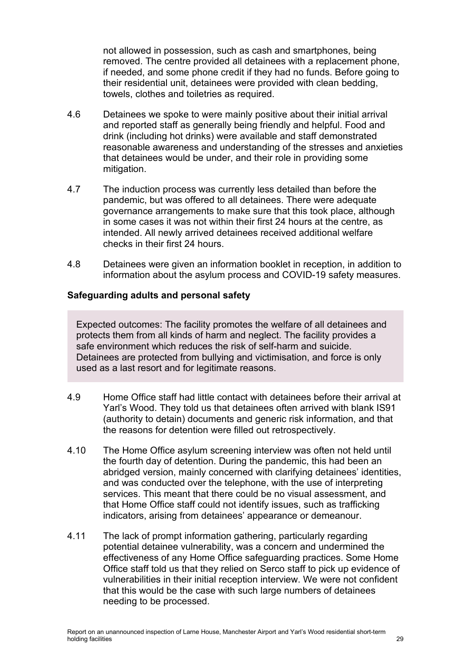not allowed in possession, such as cash and smartphones, being removed. The centre provided all detainees with a replacement phone, if needed, and some phone credit if they had no funds. Before going to their residential unit, detainees were provided with clean bedding, towels, clothes and toiletries as required.

- 4.6 Detainees we spoke to were mainly positive about their initial arrival and reported staff as generally being friendly and helpful. Food and drink (including hot drinks) were available and staff demonstrated reasonable awareness and understanding of the stresses and anxieties that detainees would be under, and their role in providing some mitigation.
- 4.7 The induction process was currently less detailed than before the pandemic, but was offered to all detainees. There were adequate governance arrangements to make sure that this took place, although in some cases it was not within their first 24 hours at the centre, as intended. All newly arrived detainees received additional welfare checks in their first 24 hours.
- 4.8 Detainees were given an information booklet in reception, in addition to information about the asylum process and COVID-19 safety measures.

### **Safeguarding adults and personal safety**

Expected outcomes: The facility promotes the welfare of all detainees and protects them from all kinds of harm and neglect. The facility provides a safe environment which reduces the risk of self-harm and suicide. Detainees are protected from bullying and victimisation, and force is only used as a last resort and for legitimate reasons.

- 4.9 Home Office staff had little contact with detainees before their arrival at Yarl's Wood. They told us that detainees often arrived with blank IS91 (authority to detain) documents and generic risk information, and that the reasons for detention were filled out retrospectively.
- 4.10 The Home Office asylum screening interview was often not held until the fourth day of detention. During the pandemic, this had been an abridged version, mainly concerned with clarifying detainees' identities, and was conducted over the telephone, with the use of interpreting services. This meant that there could be no visual assessment, and that Home Office staff could not identify issues, such as trafficking indicators, arising from detainees' appearance or demeanour.
- 4.11 The lack of prompt information gathering, particularly regarding potential detainee vulnerability, was a concern and undermined the effectiveness of any Home Office safeguarding practices. Some Home Office staff told us that they relied on Serco staff to pick up evidence of vulnerabilities in their initial reception interview. We were not confident that this would be the case with such large numbers of detainees needing to be processed.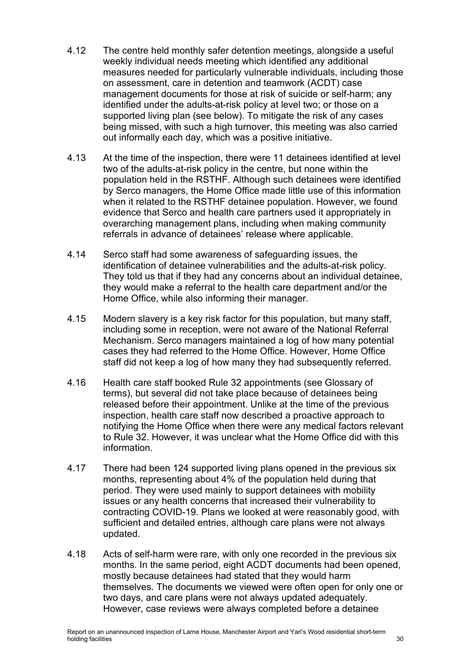- 4.12 The centre held monthly safer detention meetings, alongside a useful weekly individual needs meeting which identified any additional measures needed for particularly vulnerable individuals, including those on assessment, care in detention and teamwork (ACDT) case management documents for those at risk of suicide or self-harm; any identified under the adults-at-risk policy at level two; or those on a supported living plan (see below). To mitigate the risk of any cases being missed, with such a high turnover, this meeting was also carried out informally each day, which was a positive initiative.
- 4.13 At the time of the inspection, there were 11 detainees identified at level two of the adults-at-risk policy in the centre, but none within the population held in the RSTHF. Although such detainees were identified by Serco managers, the Home Office made little use of this information when it related to the RSTHF detainee population. However, we found evidence that Serco and health care partners used it appropriately in overarching management plans, including when making community referrals in advance of detainees' release where applicable.
- 4.14 Serco staff had some awareness of safeguarding issues, the identification of detainee vulnerabilities and the adults-at-risk policy. They told us that if they had any concerns about an individual detainee, they would make a referral to the health care department and/or the Home Office, while also informing their manager.
- 4.15 Modern slavery is a key risk factor for this population, but many staff, including some in reception, were not aware of the National Referral Mechanism. Serco managers maintained a log of how many potential cases they had referred to the Home Office. However, Home Office staff did not keep a log of how many they had subsequently referred.
- 4.16 Health care staff booked Rule 32 appointments (see Glossary of terms), but several did not take place because of detainees being released before their appointment. Unlike at the time of the previous inspection, health care staff now described a proactive approach to notifying the Home Office when there were any medical factors relevant to Rule 32. However, it was unclear what the Home Office did with this information.
- 4.17 There had been 124 supported living plans opened in the previous six months, representing about 4% of the population held during that period. They were used mainly to support detainees with mobility issues or any health concerns that increased their vulnerability to contracting COVID-19. Plans we looked at were reasonably good, with sufficient and detailed entries, although care plans were not always updated.
- 4.18 Acts of self-harm were rare, with only one recorded in the previous six months. In the same period, eight ACDT documents had been opened, mostly because detainees had stated that they would harm themselves. The documents we viewed were often open for only one or two days, and care plans were not always updated adequately. However, case reviews were always completed before a detainee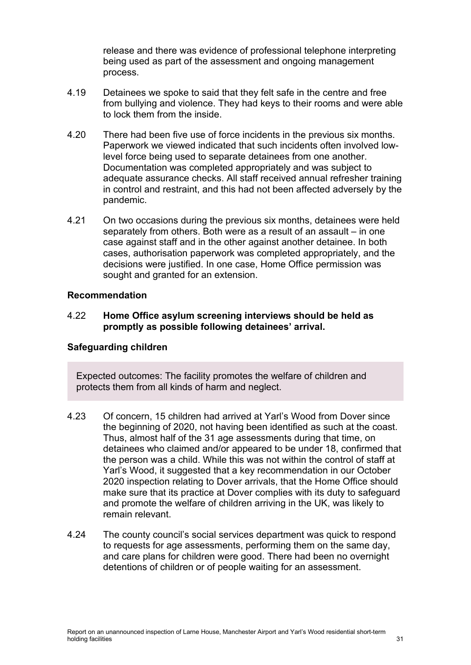release and there was evidence of professional telephone interpreting being used as part of the assessment and ongoing management process.

- 4.19 Detainees we spoke to said that they felt safe in the centre and free from bullying and violence. They had keys to their rooms and were able to lock them from the inside.
- 4.20 There had been five use of force incidents in the previous six months. Paperwork we viewed indicated that such incidents often involved lowlevel force being used to separate detainees from one another. Documentation was completed appropriately and was subject to adequate assurance checks. All staff received annual refresher training in control and restraint, and this had not been affected adversely by the pandemic.
- 4.21 On two occasions during the previous six months, detainees were held separately from others. Both were as a result of an assault – in one case against staff and in the other against another detainee. In both cases, authorisation paperwork was completed appropriately, and the decisions were justified. In one case, Home Office permission was sought and granted for an extension.

#### **Recommendation**

#### <span id="page-30-0"></span>4.22 **Home Office asylum screening interviews should be held as promptly as possible following detainees' arrival.**

#### **Safeguarding children**

Expected outcomes: The facility promotes the welfare of children and protects them from all kinds of harm and neglect.

- 4.23 Of concern, 15 children had arrived at Yarl's Wood from Dover since the beginning of 2020, not having been identified as such at the coast. Thus, almost half of the 31 age assessments during that time, on detainees who claimed and/or appeared to be under 18, confirmed that the person was a child. While this was not within the control of staff at Yarl's Wood, it suggested that a key recommendation in our October 2020 inspection relating to Dover arrivals, that the Home Office should make sure that its practice at Dover complies with its duty to safeguard and promote the welfare of children arriving in the UK, was likely to remain relevant.
- 4.24 The county council's social services department was quick to respond to requests for age assessments, performing them on the same day, and care plans for children were good. There had been no overnight detentions of children or of people waiting for an assessment.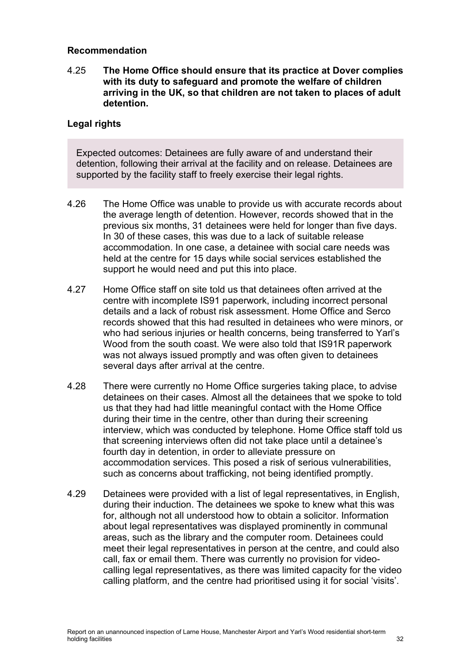#### **Recommendation**

<span id="page-31-0"></span>4.25 **The Home Office should ensure that its practice at Dover complies with its duty to safeguard and promote the welfare of children arriving in the UK, so that children are not taken to places of adult detention.**

#### **Legal rights**

Expected outcomes: Detainees are fully aware of and understand their detention, following their arrival at the facility and on release. Detainees are supported by the facility staff to freely exercise their legal rights.

- 4.26 The Home Office was unable to provide us with accurate records about the average length of detention. However, records showed that in the previous six months, 31 detainees were held for longer than five days. In 30 of these cases, this was due to a lack of suitable release accommodation. In one case, a detainee with social care needs was held at the centre for 15 days while social services established the support he would need and put this into place.
- 4.27 Home Office staff on site told us that detainees often arrived at the centre with incomplete IS91 paperwork, including incorrect personal details and a lack of robust risk assessment. Home Office and Serco records showed that this had resulted in detainees who were minors, or who had serious injuries or health concerns, being transferred to Yarl's Wood from the south coast. We were also told that IS91R paperwork was not always issued promptly and was often given to detainees several days after arrival at the centre.
- 4.28 There were currently no Home Office surgeries taking place, to advise detainees on their cases. Almost all the detainees that we spoke to told us that they had had little meaningful contact with the Home Office during their time in the centre, other than during their screening interview, which was conducted by telephone. Home Office staff told us that screening interviews often did not take place until a detainee's fourth day in detention, in order to alleviate pressure on accommodation services. This posed a risk of serious vulnerabilities, such as concerns about trafficking, not being identified promptly.
- 4.29 Detainees were provided with a list of legal representatives, in English, during their induction. The detainees we spoke to knew what this was for, although not all understood how to obtain a solicitor. Information about legal representatives was displayed prominently in communal areas, such as the library and the computer room. Detainees could meet their legal representatives in person at the centre, and could also call, fax or email them. There was currently no provision for videocalling legal representatives, as there was limited capacity for the video calling platform, and the centre had prioritised using it for social 'visits'.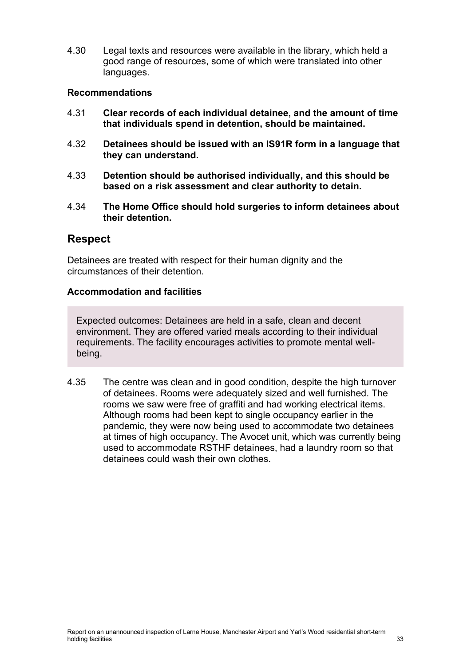4.30 Legal texts and resources were available in the library, which held a good range of resources, some of which were translated into other languages.

#### **Recommendations**

- <span id="page-32-1"></span>4.31 **Clear records of each individual detainee, and the amount of time that individuals spend in detention, should be maintained.**
- <span id="page-32-0"></span>4.32 **Detainees should be issued with an IS91R form in a language that they can understand.**
- <span id="page-32-2"></span>4.33 **Detention should be authorised individually, and this should be based on a risk assessment and clear authority to detain.**
- <span id="page-32-3"></span>4.34 **The Home Office should hold surgeries to inform detainees about their detention.**

## **Respect**

Detainees are treated with respect for their human dignity and the circumstances of their detention.

#### **Accommodation and facilities**

Expected outcomes: Detainees are held in a safe, clean and decent environment. They are offered varied meals according to their individual requirements. The facility encourages activities to promote mental wellbeing.

4.35 The centre was clean and in good condition, despite the high turnover of detainees. Rooms were adequately sized and well furnished. The rooms we saw were free of graffiti and had working electrical items. Although rooms had been kept to single occupancy earlier in the pandemic, they were now being used to accommodate two detainees at times of high occupancy. The Avocet unit, which was currently being used to accommodate RSTHF detainees, had a laundry room so that detainees could wash their own clothes.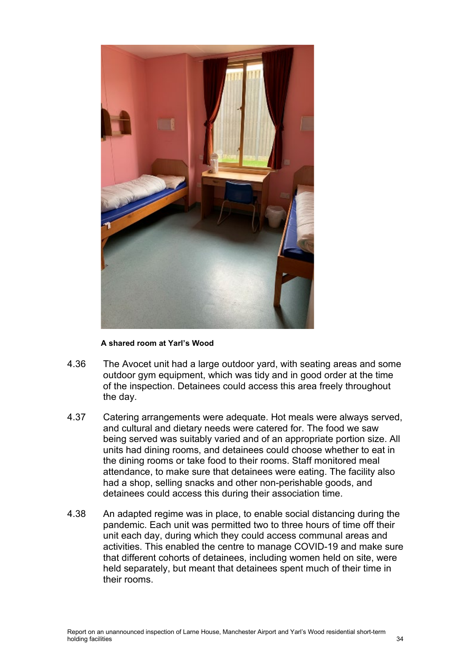

#### **A shared room at Yarl's Wood**

- 4.36 The Avocet unit had a large outdoor yard, with seating areas and some outdoor gym equipment, which was tidy and in good order at the time of the inspection. Detainees could access this area freely throughout the day.
- 4.37 Catering arrangements were adequate. Hot meals were always served, and cultural and dietary needs were catered for. The food we saw being served was suitably varied and of an appropriate portion size. All units had dining rooms, and detainees could choose whether to eat in the dining rooms or take food to their rooms. Staff monitored meal attendance, to make sure that detainees were eating. The facility also had a shop, selling snacks and other non-perishable goods, and detainees could access this during their association time.
- 4.38 An adapted regime was in place, to enable social distancing during the pandemic. Each unit was permitted two to three hours of time off their unit each day, during which they could access communal areas and activities. This enabled the centre to manage COVID-19 and make sure that different cohorts of detainees, including women held on site, were held separately, but meant that detainees spent much of their time in their rooms.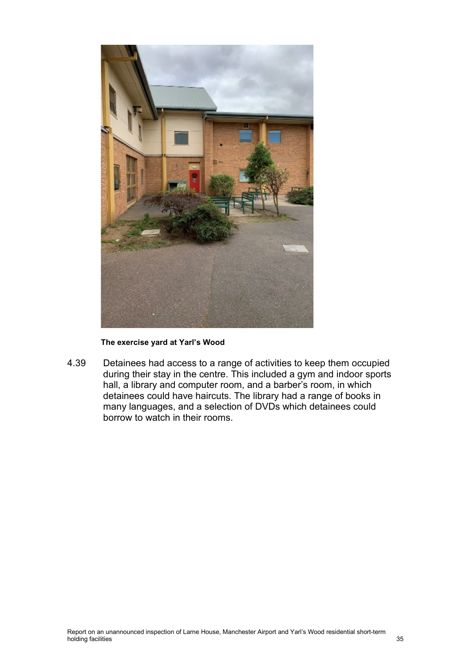

**The exercise yard at Yarl's Wood**

4.39 Detainees had access to a range of activities to keep them occupied during their stay in the centre. This included a gym and indoor sports hall, a library and computer room, and a barber's room, in which detainees could have haircuts. The library had a range of books in many languages, and a selection of DVDs which detainees could borrow to watch in their rooms.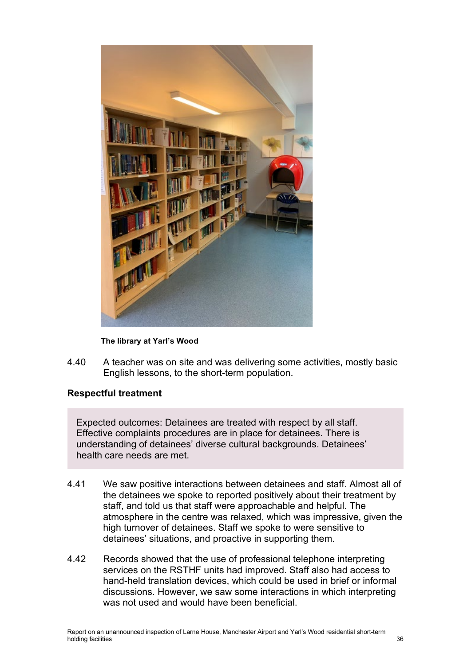

**The library at Yarl's Wood**

4.40 A teacher was on site and was delivering some activities, mostly basic English lessons, to the short-term population.

#### **Respectful treatment**

Expected outcomes: Detainees are treated with respect by all staff. Effective complaints procedures are in place for detainees. There is understanding of detainees' diverse cultural backgrounds. Detainees' health care needs are met.

- 4.41 We saw positive interactions between detainees and staff. Almost all of the detainees we spoke to reported positively about their treatment by staff, and told us that staff were approachable and helpful. The atmosphere in the centre was relaxed, which was impressive, given the high turnover of detainees. Staff we spoke to were sensitive to detainees' situations, and proactive in supporting them.
- 4.42 Records showed that the use of professional telephone interpreting services on the RSTHF units had improved. Staff also had access to hand-held translation devices, which could be used in brief or informal discussions. However, we saw some interactions in which interpreting was not used and would have been beneficial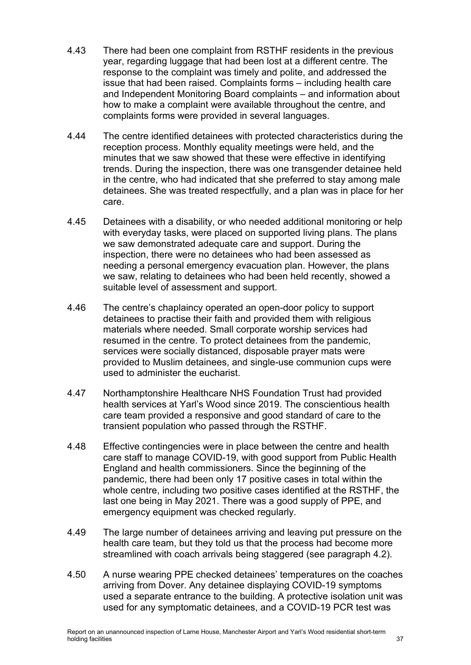- 4.43 There had been one complaint from RSTHF residents in the previous year, regarding luggage that had been lost at a different centre. The response to the complaint was timely and polite, and addressed the issue that had been raised. Complaints forms – including health care and Independent Monitoring Board complaints – and information about how to make a complaint were available throughout the centre, and complaints forms were provided in several languages.
- 4.44 The centre identified detainees with protected characteristics during the reception process. Monthly equality meetings were held, and the minutes that we saw showed that these were effective in identifying trends. During the inspection, there was one transgender detainee held in the centre, who had indicated that she preferred to stay among male detainees. She was treated respectfully, and a plan was in place for her care.
- 4.45 Detainees with a disability, or who needed additional monitoring or help with everyday tasks, were placed on supported living plans. The plans we saw demonstrated adequate care and support. During the inspection, there were no detainees who had been assessed as needing a personal emergency evacuation plan. However, the plans we saw, relating to detainees who had been held recently, showed a suitable level of assessment and support.
- 4.46 The centre's chaplaincy operated an open-door policy to support detainees to practise their faith and provided them with religious materials where needed. Small corporate worship services had resumed in the centre. To protect detainees from the pandemic, services were socially distanced, disposable prayer mats were provided to Muslim detainees, and single-use communion cups were used to administer the eucharist.
- 4.47 Northamptonshire Healthcare NHS Foundation Trust had provided health services at Yarl's Wood since 2019. The conscientious health care team provided a responsive and good standard of care to the transient population who passed through the RSTHF.
- 4.48 Effective contingencies were in place between the centre and health care staff to manage COVID-19, with good support from Public Health England and health commissioners. Since the beginning of the pandemic, there had been only 17 positive cases in total within the whole centre, including two positive cases identified at the RSTHF, the last one being in May 2021. There was a good supply of PPE, and emergency equipment was checked regularly.
- 4.49 The large number of detainees arriving and leaving put pressure on the health care team, but they told us that the process had become more streamlined with coach arrivals being staggered (see paragraph [4.2\)](#page-27-1).
- <span id="page-36-0"></span>4.50 A nurse wearing PPE checked detainees' temperatures on the coaches arriving from Dover. Any detainee displaying COVID-19 symptoms used a separate entrance to the building. A protective isolation unit was used for any symptomatic detainees, and a COVID-19 PCR test was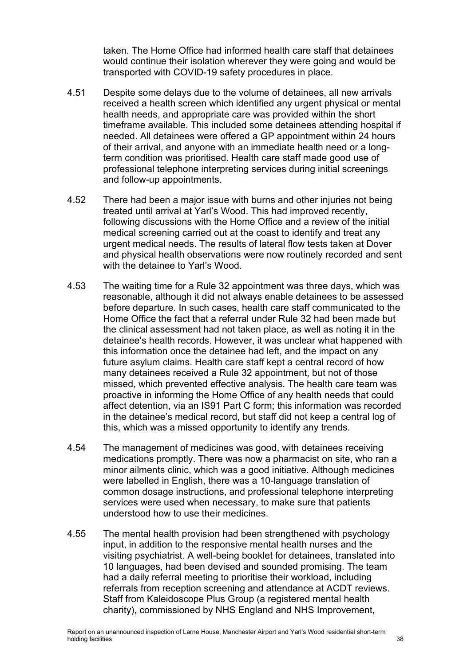taken. The Home Office had informed health care staff that detainees would continue their isolation wherever they were going and would be transported with COVID-19 safety procedures in place.

- 4.51 Despite some delays due to the volume of detainees, all new arrivals received a health screen which identified any urgent physical or mental health needs, and appropriate care was provided within the short timeframe available. This included some detainees attending hospital if needed. All detainees were offered a GP appointment within 24 hours of their arrival, and anyone with an immediate health need or a longterm condition was prioritised. Health care staff made good use of professional telephone interpreting services during initial screenings and follow-up appointments.
- 4.52 There had been a major issue with burns and other injuries not being treated until arrival at Yarl's Wood. This had improved recently, following discussions with the Home Office and a review of the initial medical screening carried out at the coast to identify and treat any urgent medical needs. The results of lateral flow tests taken at Dover and physical health observations were now routinely recorded and sent with the detainee to Yarl's Wood.
- 4.53 The waiting time for a Rule 32 appointment was three days, which was reasonable, although it did not always enable detainees to be assessed before departure. In such cases, health care staff communicated to the Home Office the fact that a referral under Rule 32 had been made but the clinical assessment had not taken place, as well as noting it in the detainee's health records. However, it was unclear what happened with this information once the detainee had left, and the impact on any future asylum claims. Health care staff kept a central record of how many detainees received a Rule 32 appointment, but not of those missed, which prevented effective analysis. The health care team was proactive in informing the Home Office of any health needs that could affect detention, via an IS91 Part C form; this information was recorded in the detainee's medical record, but staff did not keep a central log of this, which was a missed opportunity to identify any trends.
- <span id="page-37-0"></span>4.54 The management of medicines was good, with detainees receiving medications promptly. There was now a pharmacist on site, who ran a minor ailments clinic, which was a good initiative. Although medicines were labelled in English, there was a 10-language translation of common dosage instructions, and professional telephone interpreting services were used when necessary, to make sure that patients understood how to use their medicines.
- 4.55 The mental health provision had been strengthened with psychology input, in addition to the responsive mental health nurses and the visiting psychiatrist. A well-being booklet for detainees, translated into 10 languages, had been devised and sounded promising. The team had a daily referral meeting to prioritise their workload, including referrals from reception screening and attendance at ACDT reviews. Staff from Kaleidoscope Plus Group (a registered mental health charity), commissioned by NHS England and NHS Improvement,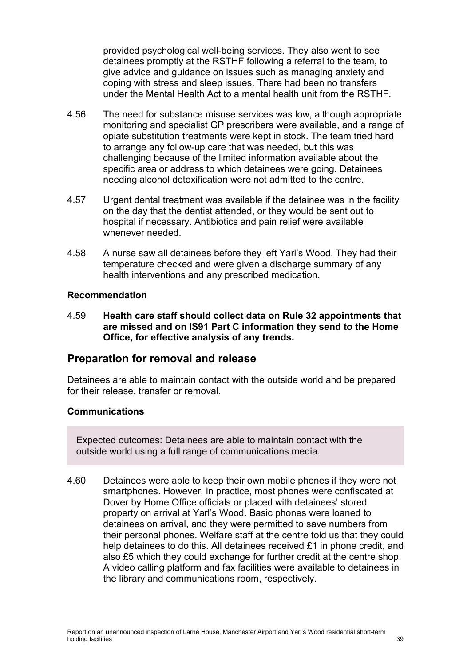provided psychological well-being services. They also went to see detainees promptly at the RSTHF following a referral to the team, to give advice and guidance on issues such as managing anxiety and coping with stress and sleep issues. There had been no transfers under the Mental Health Act to a mental health unit from the RSTHF.

- 4.56 The need for substance misuse services was low, although appropriate monitoring and specialist GP prescribers were available, and a range of opiate substitution treatments were kept in stock. The team tried hard to arrange any follow-up care that was needed, but this was challenging because of the limited information available about the specific area or address to which detainees were going. Detainees needing alcohol detoxification were not admitted to the centre.
- 4.57 Urgent dental treatment was available if the detainee was in the facility on the day that the dentist attended, or they would be sent out to hospital if necessary. Antibiotics and pain relief were available whenever needed.
- 4.58 A nurse saw all detainees before they left Yarl's Wood. They had their temperature checked and were given a discharge summary of any health interventions and any prescribed medication.

#### **Recommendation**

<span id="page-38-0"></span>4.59 **Health care staff should collect data on Rule 32 appointments that are missed and on IS91 Part C information they send to the Home Office, for effective analysis of any trends.**

## **Preparation for removal and release**

Detainees are able to maintain contact with the outside world and be prepared for their release, transfer or removal.

#### **Communications**

Expected outcomes: Detainees are able to maintain contact with the outside world using a full range of communications media.

4.60 Detainees were able to keep their own mobile phones if they were not smartphones. However, in practice, most phones were confiscated at Dover by Home Office officials or placed with detainees' stored property on arrival at Yarl's Wood. Basic phones were loaned to detainees on arrival, and they were permitted to save numbers from their personal phones. Welfare staff at the centre told us that they could help detainees to do this. All detainees received £1 in phone credit, and also £5 which they could exchange for further credit at the centre shop. A video calling platform and fax facilities were available to detainees in the library and communications room, respectively.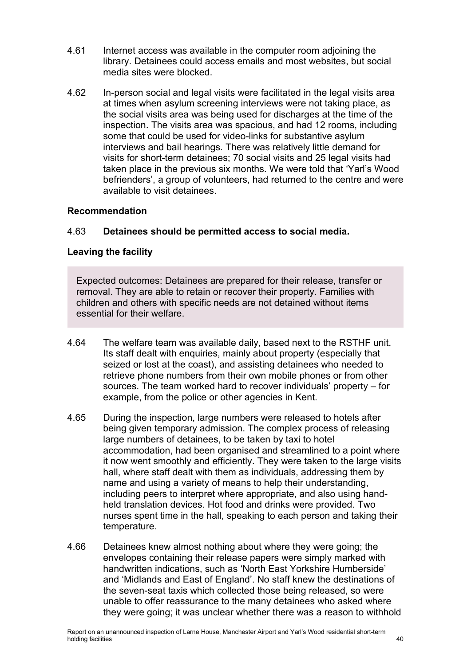- 4.61 Internet access was available in the computer room adjoining the library. Detainees could access emails and most websites, but social media sites were blocked.
- 4.62 In-person social and legal visits were facilitated in the legal visits area at times when asylum screening interviews were not taking place, as the social visits area was being used for discharges at the time of the inspection. The visits area was spacious, and had 12 rooms, including some that could be used for video-links for substantive asylum interviews and bail hearings. There was relatively little demand for visits for short-term detainees; 70 social visits and 25 legal visits had taken place in the previous six months. We were told that 'Yarl's Wood befrienders', a group of volunteers, had returned to the centre and were available to visit detainees.

#### **Recommendation**

### 4.63 **Detainees should be permitted access to social media.**

### **Leaving the facility**

Expected outcomes: Detainees are prepared for their release, transfer or removal. They are able to retain or recover their property. Families with children and others with specific needs are not detained without items essential for their welfare.

- 4.64 The welfare team was available daily, based next to the RSTHF unit. Its staff dealt with enquiries, mainly about property (especially that seized or lost at the coast), and assisting detainees who needed to retrieve phone numbers from their own mobile phones or from other sources. The team worked hard to recover individuals' property – for example, from the police or other agencies in Kent.
- 4.65 During the inspection, large numbers were released to hotels after being given temporary admission. The complex process of releasing large numbers of detainees, to be taken by taxi to hotel accommodation, had been organised and streamlined to a point where it now went smoothly and efficiently. They were taken to the large visits hall, where staff dealt with them as individuals, addressing them by name and using a variety of means to help their understanding, including peers to interpret where appropriate, and also using handheld translation devices. Hot food and drinks were provided. Two nurses spent time in the hall, speaking to each person and taking their temperature.
- 4.66 Detainees knew almost nothing about where they were going; the envelopes containing their release papers were simply marked with handwritten indications, such as 'North East Yorkshire Humberside' and 'Midlands and East of England'. No staff knew the destinations of the seven-seat taxis which collected those being released, so were unable to offer reassurance to the many detainees who asked where they were going; it was unclear whether there was a reason to withhold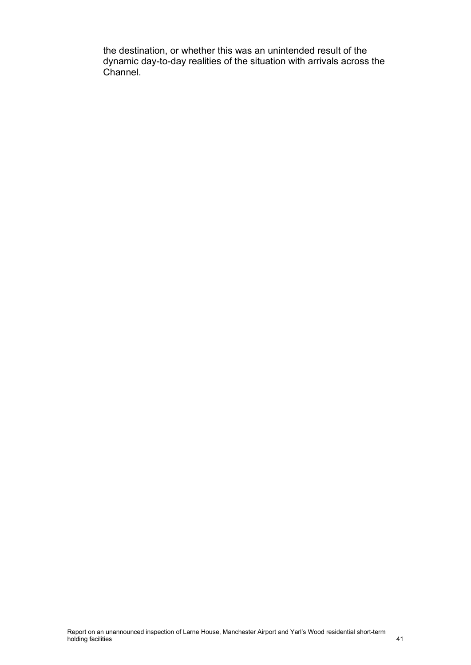the destination, or whether this was an unintended result of the dynamic day-to-day realities of the situation with arrivals across the Channel.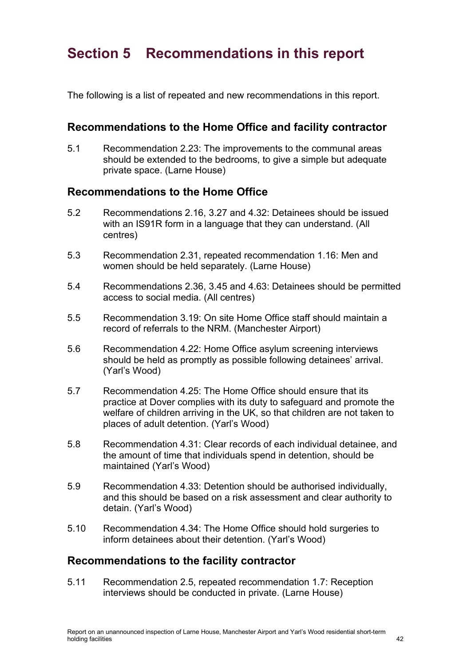# <span id="page-41-0"></span>**Section 5 Recommendations in this report**

The following is a list of repeated and new recommendations in this report.

## **Recommendations to the Home Office and facility contractor**

5.1 Recommendation [2.23:](#page-13-0) The improvements to the communal areas should be extended to the bedrooms, to give a simple but adequate private space. (Larne House)

## **Recommendations to the Home Office**

- 5.2 Recommendations [2.16,](#page-10-0) [3.27](#page-20-1) and [4.32:](#page-32-0) Detainees should be issued with an IS91R form in a language that they can understand. (All centres)
- 5.3 Recommendation [2.31,](#page-14-0) repeated recommendation 1.16: Men and women should be held separately. (Larne House)
- 5.4 Recommendations 2.36, 3.45 and 4.63: Detainees should be permitted access to social media. (All centres)
- 5.5 Recommendation [3.19:](#page-19-1) On site Home Office staff should maintain a record of referrals to the NRM. (Manchester Airport)
- 5.6 Recommendation [4.22:](#page-30-0) Home Office asylum screening interviews should be held as promptly as possible following detainees' arrival. (Yarl's Wood)
- 5.7 Recommendation [4.25:](#page-31-0) The Home Office should ensure that its practice at Dover complies with its duty to safeguard and promote the welfare of children arriving in the UK, so that children are not taken to places of adult detention. (Yarl's Wood)
- 5.8 Recommendation [4.31:](#page-32-1) Clear records of each individual detainee, and the amount of time that individuals spend in detention, should be maintained (Yarl's Wood)
- 5.9 Recommendation [4.33:](#page-32-2) Detention should be authorised individually, and this should be based on a risk assessment and clear authority to detain. (Yarl's Wood)
- 5.10 Recommendation [4.34:](#page-32-3) The Home Office should hold surgeries to inform detainees about their detention. (Yarl's Wood)

## **Recommendations to the facility contractor**

5.11 Recommendation [2.5,](#page-8-1) repeated recommendation 1.7: Reception interviews should be conducted in private. (Larne House)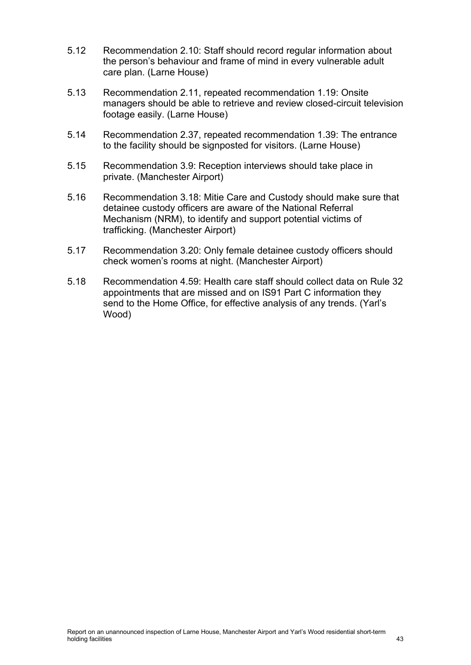- 5.12 Recommendation [2.10:](#page-9-0) Staff should record regular information about the person's behaviour and frame of mind in every vulnerable adult care plan. (Larne House)
- 5.13 Recommendation [2.11,](#page-9-1) repeated recommendation 1.19: Onsite managers should be able to retrieve and review closed-circuit television footage easily. (Larne House)
- 5.14 Recommendation [2.37,](#page-15-0) repeated recommendation 1.39: The entrance to the facility should be signposted for visitors. (Larne House)
- 5.15 Recommendation [3.9:](#page-18-0) Reception interviews should take place in private. (Manchester Airport)
- 5.16 Recommendation [3.18:](#page-19-2) Mitie Care and Custody should make sure that detainee custody officers are aware of the National Referral Mechanism (NRM), to identify and support potential victims of trafficking. (Manchester Airport)
- 5.17 Recommendation [3.20:](#page-19-3) Only female detainee custody officers should check women's rooms at night. (Manchester Airport)
- 5.18 Recommendation [4.59:](#page-38-0) Health care staff should collect data on Rule 32 appointments that are missed and on IS91 Part C information they send to the Home Office, for effective analysis of any trends. (Yarl's Wood)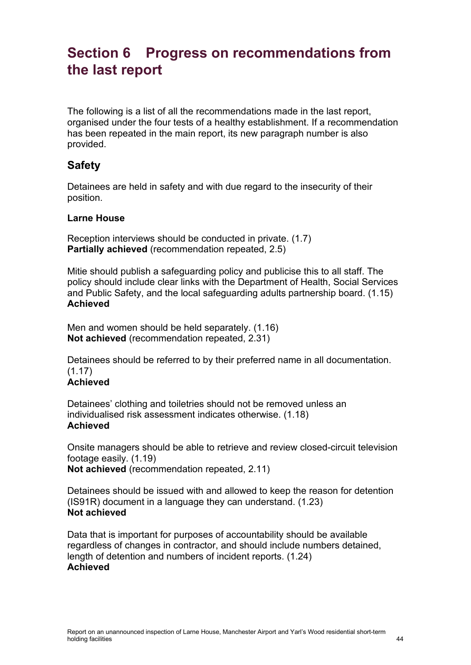# <span id="page-43-0"></span>**Section 6 Progress on recommendations from the last report**

The following is a list of all the recommendations made in the last report, organised under the four tests of a healthy establishment. If a recommendation has been repeated in the main report, its new paragraph number is also provided.

## **Safety**

Detainees are held in safety and with due regard to the insecurity of their position.

## **Larne House**

Reception interviews should be conducted in private. (1.7) **Partially achieved** (recommendation repeated, [2.5\)](#page-8-1)

Mitie should publish a safeguarding policy and publicise this to all staff. The policy should include clear links with the Department of Health, Social Services and Public Safety, and the local safeguarding adults partnership board. (1.15) **Achieved**

Men and women should be held separately. (1.16) **Not achieved** (recommendation repeated, [2.31\)](#page-14-0)

Detainees should be referred to by their preferred name in all documentation. (1.17)

## **Achieved**

Detainees' clothing and toiletries should not be removed unless an individualised risk assessment indicates otherwise. (1.18) **Achieved**

Onsite managers should be able to retrieve and review closed-circuit television footage easily. (1.19) **Not achieved** (recommendation repeated, [2.11\)](#page-9-1)

Detainees should be issued with and allowed to keep the reason for detention (IS91R) document in a language they can understand. (1.23) **Not achieved**

Data that is important for purposes of accountability should be available regardless of changes in contractor, and should include numbers detained, length of detention and numbers of incident reports. (1.24) **Achieved**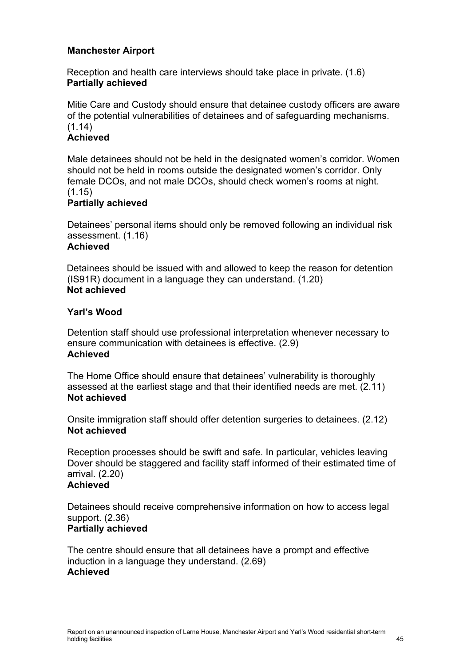### **Manchester Airport**

Reception and health care interviews should take place in private. (1.6) **Partially achieved**

Mitie Care and Custody should ensure that detainee custody officers are aware of the potential vulnerabilities of detainees and of safeguarding mechanisms. (1.14)

## **Achieved**

Male detainees should not be held in the designated women's corridor. Women should not be held in rooms outside the designated women's corridor. Only female DCOs, and not male DCOs, should check women's rooms at night.  $(1.15)$ 

#### **Partially achieved**

Detainees' personal items should only be removed following an individual risk assessment. (1.16) **Achieved**

Detainees should be issued with and allowed to keep the reason for detention (IS91R) document in a language they can understand. (1.20) **Not achieved**

#### **Yarl's Wood**

Detention staff should use professional interpretation whenever necessary to ensure communication with detainees is effective. (2.9) **Achieved**

The Home Office should ensure that detainees' vulnerability is thoroughly assessed at the earliest stage and that their identified needs are met. (2.11) **Not achieved**

Onsite immigration staff should offer detention surgeries to detainees. (2.12) **Not achieved**

Reception processes should be swift and safe. In particular, vehicles leaving Dover should be staggered and facility staff informed of their estimated time of arrival. (2.20)

### **Achieved**

Detainees should receive comprehensive information on how to access legal support. (2.36) **Partially achieved**

The centre should ensure that all detainees have a prompt and effective induction in a language they understand. (2.69) **Achieved**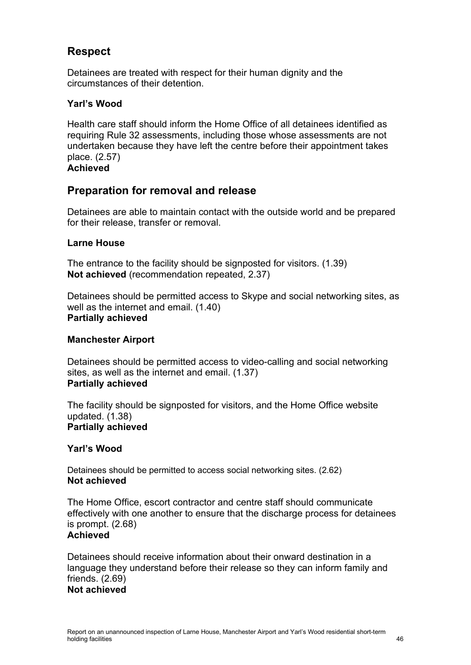# **Respect**

Detainees are treated with respect for their human dignity and the circumstances of their detention.

### **Yarl's Wood**

Health care staff should inform the Home Office of all detainees identified as requiring Rule 32 assessments, including those whose assessments are not undertaken because they have left the centre before their appointment takes place. (2.57) **Achieved**

## **Preparation for removal and release**

Detainees are able to maintain contact with the outside world and be prepared for their release, transfer or removal.

### **Larne House**

The entrance to the facility should be signposted for visitors. (1.39) **Not achieved** (recommendation repeated, [2.37\)](#page-15-0)

Detainees should be permitted access to Skype and social networking sites, as well as the internet and email. (1.40) **Partially achieved** 

#### **Manchester Airport**

Detainees should be permitted access to video-calling and social networking sites, as well as the internet and email. (1.37) **Partially achieved**

The facility should be signposted for visitors, and the Home Office website updated. (1.38) **Partially achieved**

#### **Yarl's Wood**

Detainees should be permitted to access social networking sites. (2.62) **Not achieved**

The Home Office, escort contractor and centre staff should communicate effectively with one another to ensure that the discharge process for detainees is prompt. (2.68) **Achieved**

Detainees should receive information about their onward destination in a language they understand before their release so they can inform family and friends. (2.69) **Not achieved**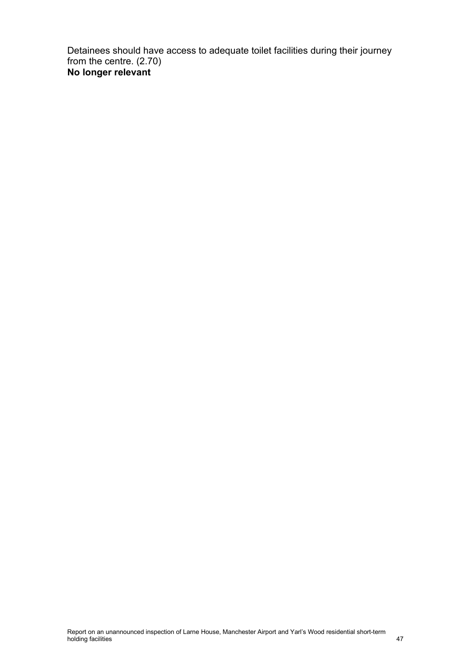Detainees should have access to adequate toilet facilities during their journey from the centre. (2.70) **No longer relevant**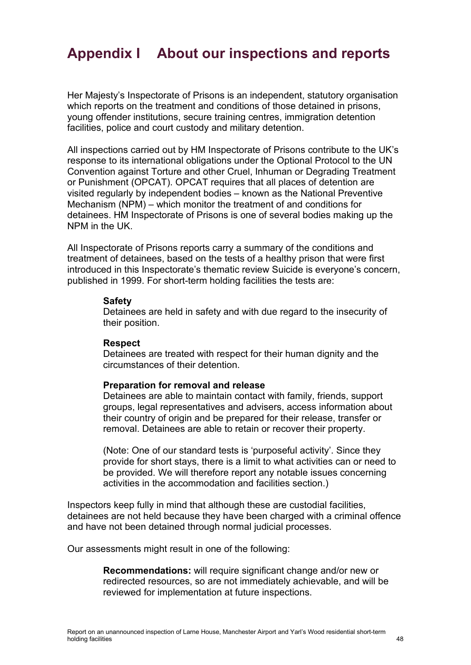# <span id="page-47-0"></span>**Appendix I About our inspections and reports**

Her Majesty's Inspectorate of Prisons is an independent, statutory organisation which reports on the treatment and conditions of those detained in prisons, young offender institutions, secure training centres, immigration detention facilities, police and court custody and military detention.

All inspections carried out by HM Inspectorate of Prisons contribute to the UK's response to its international obligations under the Optional Protocol to the UN Convention against Torture and other Cruel, Inhuman or Degrading Treatment or Punishment (OPCAT). OPCAT requires that all places of detention are visited regularly by independent bodies – known as the National Preventive Mechanism (NPM) – which monitor the treatment of and conditions for detainees. HM Inspectorate of Prisons is one of several bodies making up the NPM in the UK.

All Inspectorate of Prisons reports carry a summary of the conditions and treatment of detainees, based on the tests of a healthy prison that were first introduced in this Inspectorate's thematic review Suicide is everyone's concern, published in 1999. For short-term holding facilities the tests are:

#### **Safety**

Detainees are held in safety and with due regard to the insecurity of their position.

#### **Respect**

Detainees are treated with respect for their human dignity and the circumstances of their detention.

#### **Preparation for removal and release**

Detainees are able to maintain contact with family, friends, support groups, legal representatives and advisers, access information about their country of origin and be prepared for their release, transfer or removal. Detainees are able to retain or recover their property.

(Note: One of our standard tests is 'purposeful activity'. Since they provide for short stays, there is a limit to what activities can or need to be provided. We will therefore report any notable issues concerning activities in the accommodation and facilities section.)

Inspectors keep fully in mind that although these are custodial facilities, detainees are not held because they have been charged with a criminal offence and have not been detained through normal judicial processes.

Our assessments might result in one of the following:

**Recommendations:** will require significant change and/or new or redirected resources, so are not immediately achievable, and will be reviewed for implementation at future inspections.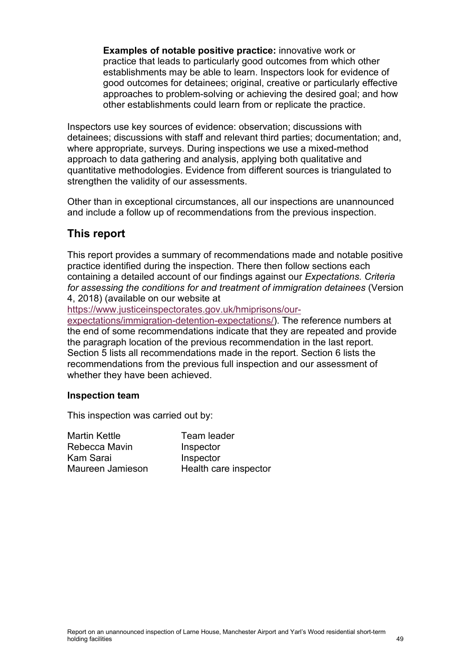**Examples of notable positive practice:** innovative work or practice that leads to particularly good outcomes from which other establishments may be able to learn. Inspectors look for evidence of good outcomes for detainees; original, creative or particularly effective approaches to problem-solving or achieving the desired goal; and how other establishments could learn from or replicate the practice.

Inspectors use key sources of evidence: observation; discussions with detainees; discussions with staff and relevant third parties; documentation; and, where appropriate, surveys. During inspections we use a mixed-method approach to data gathering and analysis, applying both qualitative and quantitative methodologies. Evidence from different sources is triangulated to strengthen the validity of our assessments.

Other than in exceptional circumstances, all our inspections are unannounced and include a follow up of recommendations from the previous inspection.

## **This report**

This report provides a summary of recommendations made and notable positive practice identified during the inspection. There then follow sections each containing a detailed account of our findings against our *Expectations. Criteria for assessing the conditions for and treatment of immigration detainees* (Version 4, 2018) (available on our website at

[https://www.justiceinspectorates.gov.uk/hmiprisons/our-](https://www.justiceinspectorates.gov.uk/hmiprisons/our-expectations/immigration-detention-expectations/)

[expectations/immigration-detention-expectations/\)](https://www.justiceinspectorates.gov.uk/hmiprisons/our-expectations/immigration-detention-expectations/). The reference numbers at the end of some recommendations indicate that they are repeated and provide the paragraph location of the previous recommendation in the last report. Section 5 lists all recommendations made in the report. Section 6 lists the recommendations from the previous full inspection and our assessment of whether they have been achieved.

#### **Inspection team**

This inspection was carried out by:

| Team leader           |
|-----------------------|
| Inspector             |
| Inspector             |
| Health care inspector |
|                       |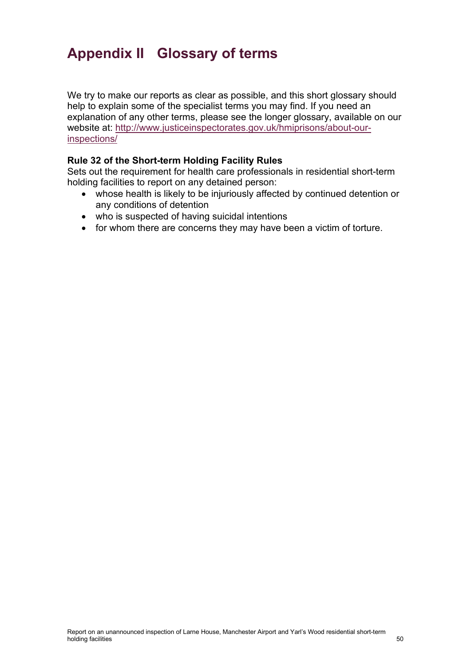# <span id="page-49-0"></span>**Appendix II Glossary of terms**

We try to make our reports as clear as possible, and this short glossary should help to explain some of the specialist terms you may find. If you need an explanation of any other terms, please see the longer glossary, available on our website at: [http://www.justiceinspectorates.gov.uk/hmiprisons/about-our](http://www.justiceinspectorates.gov.uk/hmiprisons/about-our-inspections/)[inspections/](http://www.justiceinspectorates.gov.uk/hmiprisons/about-our-inspections/)

### **Rule 32 of the Short-term Holding Facility Rules**

Sets out the requirement for health care professionals in residential short-term holding facilities to report on any detained person:

- whose health is likely to be injuriously affected by continued detention or any conditions of detention
- who is suspected of having suicidal intentions
- for whom there are concerns they may have been a victim of torture.